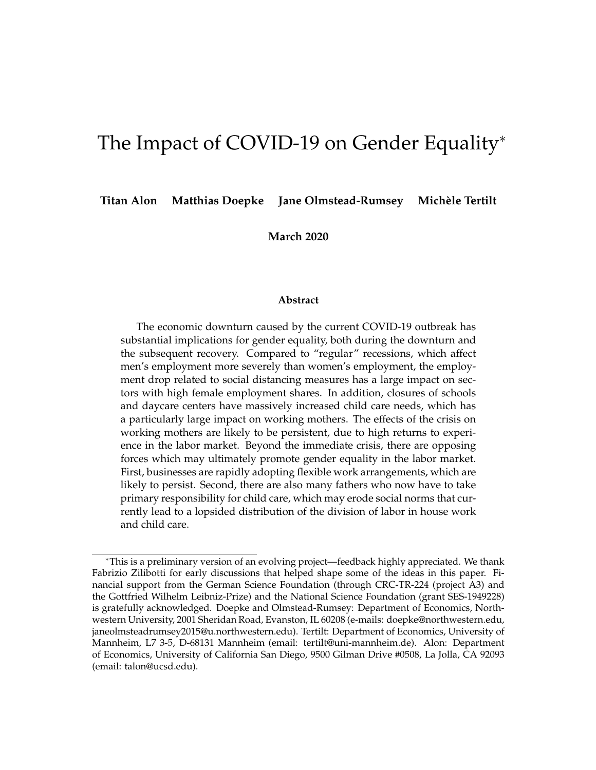# The Impact of COVID-19 on Gender Equality<sup>∗</sup>

**Titan Alon Matthias Doepke Jane Olmstead-Rumsey Michèle Tertilt**

**March 2020**

#### **Abstract**

The economic downturn caused by the current COVID-19 outbreak has substantial implications for gender equality, both during the downturn and the subsequent recovery. Compared to "regular" recessions, which affect men's employment more severely than women's employment, the employment drop related to social distancing measures has a large impact on sectors with high female employment shares. In addition, closures of schools and daycare centers have massively increased child care needs, which has a particularly large impact on working mothers. The effects of the crisis on working mothers are likely to be persistent, due to high returns to experience in the labor market. Beyond the immediate crisis, there are opposing forces which may ultimately promote gender equality in the labor market. First, businesses are rapidly adopting flexible work arrangements, which are likely to persist. Second, there are also many fathers who now have to take primary responsibility for child care, which may erode social norms that currently lead to a lopsided distribution of the division of labor in house work and child care.

<sup>∗</sup>This is a preliminary version of an evolving project—feedback highly appreciated. We thank Fabrizio Zilibotti for early discussions that helped shape some of the ideas in this paper. Financial support from the German Science Foundation (through CRC-TR-224 (project A3) and the Gottfried Wilhelm Leibniz-Prize) and the National Science Foundation (grant SES-1949228) is gratefully acknowledged. Doepke and Olmstead-Rumsey: Department of Economics, Northwestern University, 2001 Sheridan Road, Evanston, IL 60208 (e-mails: doepke@northwestern.edu, janeolmsteadrumsey2015@u.northwestern.edu). Tertilt: Department of Economics, University of Mannheim, L7 3-5, D-68131 Mannheim (email: tertilt@uni-mannheim.de). Alon: Department of Economics, University of California San Diego, 9500 Gilman Drive #0508, La Jolla, CA 92093 (email: talon@ucsd.edu).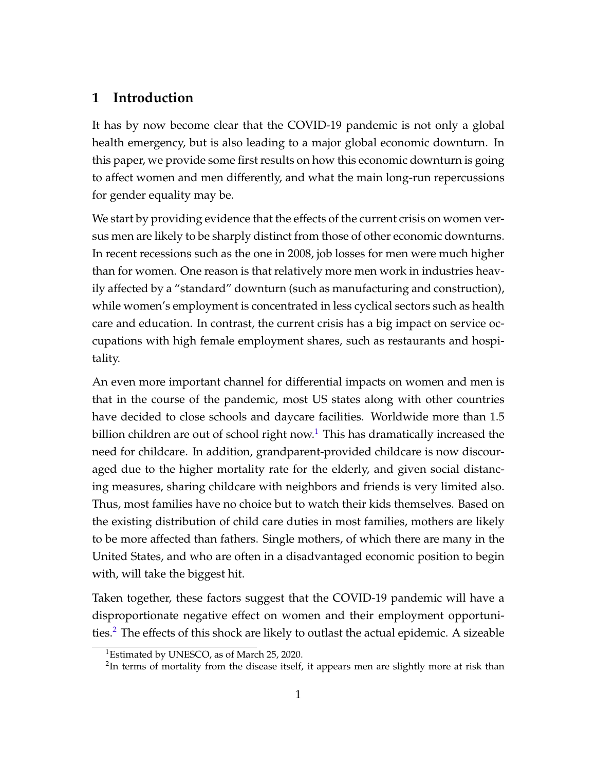## **1 Introduction**

It has by now become clear that the COVID-19 pandemic is not only a global health emergency, but is also leading to a major global economic downturn. In this paper, we provide some first results on how this economic downturn is going to affect women and men differently, and what the main long-run repercussions for gender equality may be.

We start by providing evidence that the effects of the current crisis on women versus men are likely to be sharply distinct from those of other economic downturns. In recent recessions such as the one in 2008, job losses for men were much higher than for women. One reason is that relatively more men work in industries heavily affected by a "standard" downturn (such as manufacturing and construction), while women's employment is concentrated in less cyclical sectors such as health care and education. In contrast, the current crisis has a big impact on service occupations with high female employment shares, such as restaurants and hospitality.

An even more important channel for differential impacts on women and men is that in the course of the pandemic, most US states along with other countries have decided to close schools and daycare facilities. Worldwide more than 1.5 billion children are out of school right now.<sup>[1](#page-1-0)</sup> This has dramatically increased the need for childcare. In addition, grandparent-provided childcare is now discouraged due to the higher mortality rate for the elderly, and given social distancing measures, sharing childcare with neighbors and friends is very limited also. Thus, most families have no choice but to watch their kids themselves. Based on the existing distribution of child care duties in most families, mothers are likely to be more affected than fathers. Single mothers, of which there are many in the United States, and who are often in a disadvantaged economic position to begin with, will take the biggest hit.

Taken together, these factors suggest that the COVID-19 pandemic will have a disproportionate negative effect on women and their employment opportuni-ties.<sup>[2](#page-1-1)</sup> The effects of this shock are likely to outlast the actual epidemic. A sizeable

<span id="page-1-0"></span><sup>&</sup>lt;sup>1</sup>Estimated by UNESCO, as of March 25, 2020.

<span id="page-1-1"></span> $2$ In terms of mortality from the disease itself, it appears men are slightly more at risk than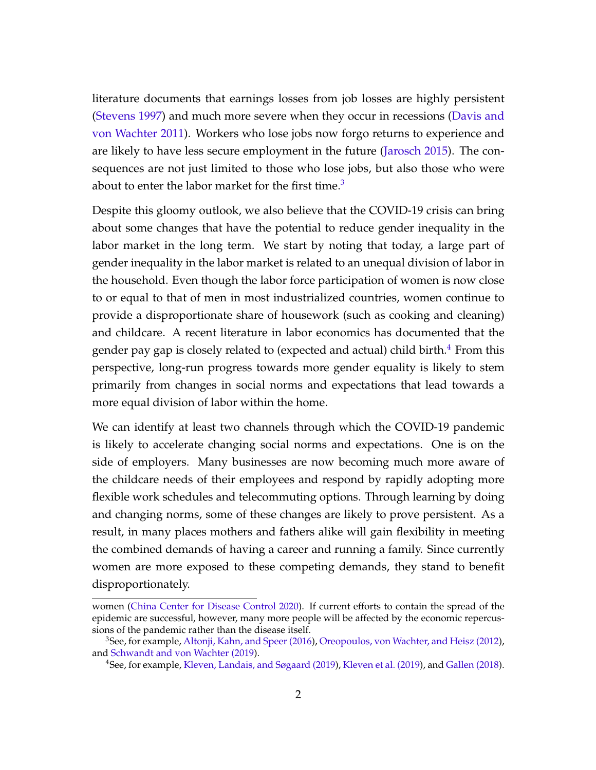literature documents that earnings losses from job losses are highly persistent [\(Stevens 1997\)](#page-29-0) and much more severe when they occur in recessions [\(Davis and](#page-27-0) [von Wachter 2011\)](#page-27-0). Workers who lose jobs now forgo returns to experience and are likely to have less secure employment in the future [\(Jarosch 2015\)](#page-28-0). The consequences are not just limited to those who lose jobs, but also those who were about to enter the labor market for the first time.<sup>[3](#page-2-0)</sup>

Despite this gloomy outlook, we also believe that the COVID-19 crisis can bring about some changes that have the potential to reduce gender inequality in the labor market in the long term. We start by noting that today, a large part of gender inequality in the labor market is related to an unequal division of labor in the household. Even though the labor force participation of women is now close to or equal to that of men in most industrialized countries, women continue to provide a disproportionate share of housework (such as cooking and cleaning) and childcare. A recent literature in labor economics has documented that the gender pay gap is closely related to (expected and actual) child birth. $4$  From this perspective, long-run progress towards more gender equality is likely to stem primarily from changes in social norms and expectations that lead towards a more equal division of labor within the home.

We can identify at least two channels through which the COVID-19 pandemic is likely to accelerate changing social norms and expectations. One is on the side of employers. Many businesses are now becoming much more aware of the childcare needs of their employees and respond by rapidly adopting more flexible work schedules and telecommuting options. Through learning by doing and changing norms, some of these changes are likely to prove persistent. As a result, in many places mothers and fathers alike will gain flexibility in meeting the combined demands of having a career and running a family. Since currently women are more exposed to these competing demands, they stand to benefit disproportionately.

women [\(China Center for Disease Control 2020\)](#page-27-1). If current efforts to contain the spread of the epidemic are successful, however, many more people will be affected by the economic repercussions of the pandemic rather than the disease itself.

<span id="page-2-0"></span><sup>3</sup>See, for example, [Altonji, Kahn, and Speer \(2016\)](#page-27-2), [Oreopoulos, von Wachter, and Heisz \(2012\)](#page-29-1), and [Schwandt and von Wachter \(2019\)](#page-29-2).

<span id="page-2-1"></span><sup>4</sup>See, for example, [Kleven, Landais, and Søgaard \(2019\)](#page-29-3), [Kleven et al. \(2019\)](#page-28-1), and [Gallen \(2018\)](#page-28-2).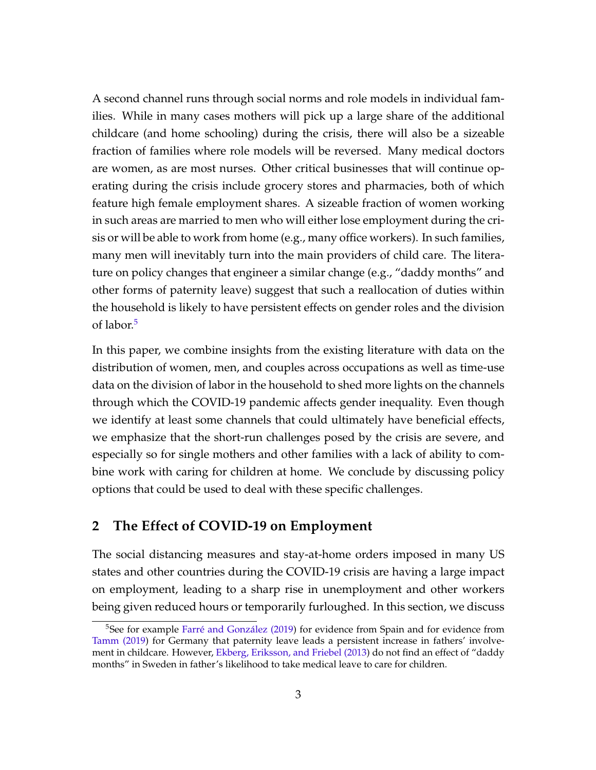A second channel runs through social norms and role models in individual families. While in many cases mothers will pick up a large share of the additional childcare (and home schooling) during the crisis, there will also be a sizeable fraction of families where role models will be reversed. Many medical doctors are women, as are most nurses. Other critical businesses that will continue operating during the crisis include grocery stores and pharmacies, both of which feature high female employment shares. A sizeable fraction of women working in such areas are married to men who will either lose employment during the crisis or will be able to work from home (e.g., many office workers). In such families, many men will inevitably turn into the main providers of child care. The literature on policy changes that engineer a similar change (e.g., "daddy months" and other forms of paternity leave) suggest that such a reallocation of duties within the household is likely to have persistent effects on gender roles and the division of labor.<sup>[5](#page-3-0)</sup>

In this paper, we combine insights from the existing literature with data on the distribution of women, men, and couples across occupations as well as time-use data on the division of labor in the household to shed more lights on the channels through which the COVID-19 pandemic affects gender inequality. Even though we identify at least some channels that could ultimately have beneficial effects, we emphasize that the short-run challenges posed by the crisis are severe, and especially so for single mothers and other families with a lack of ability to combine work with caring for children at home. We conclude by discussing policy options that could be used to deal with these specific challenges.

## **2 The Effect of COVID-19 on Employment**

The social distancing measures and stay-at-home orders imposed in many US states and other countries during the COVID-19 crisis are having a large impact on employment, leading to a sharp rise in unemployment and other workers being given reduced hours or temporarily furloughed. In this section, we discuss

<span id="page-3-0"></span><sup>&</sup>lt;sup>5</sup>See for example [Farré and González \(2019\)](#page-28-3) for evidence from Spain and for evidence from [Tamm \(2019\)](#page-29-4) for Germany that paternity leave leads a persistent increase in fathers' involvement in childcare. However, [Ekberg, Eriksson, and Friebel \(2013\)](#page-27-3) do not find an effect of "daddy months" in Sweden in father's likelihood to take medical leave to care for children.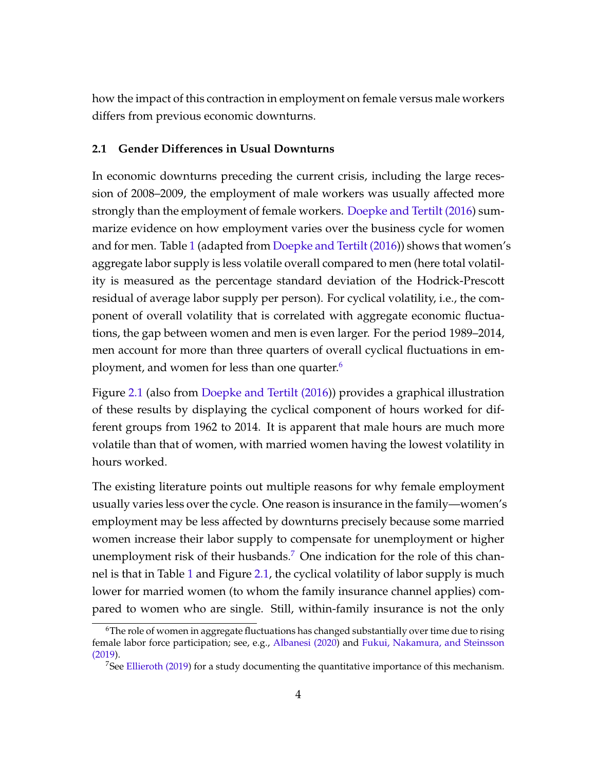how the impact of this contraction in employment on female versus male workers differs from previous economic downturns.

#### **2.1 Gender Differences in Usual Downturns**

In economic downturns preceding the current crisis, including the large recession of 2008–2009, the employment of male workers was usually affected more strongly than the employment of female workers. [Doepke and Tertilt \(2016\)](#page-27-4) summarize evidence on how employment varies over the business cycle for women and for men. Table [1](#page-5-0) (adapted from [Doepke and Tertilt \(2016\)](#page-27-4)) shows that women's aggregate labor supply is less volatile overall compared to men (here total volatility is measured as the percentage standard deviation of the Hodrick-Prescott residual of average labor supply per person). For cyclical volatility, i.e., the component of overall volatility that is correlated with aggregate economic fluctuations, the gap between women and men is even larger. For the period 1989–2014, men account for more than three quarters of overall cyclical fluctuations in em-ployment, and women for less than one quarter.<sup>[6](#page-4-0)</sup>

Figure [2.1](#page-6-0) (also from [Doepke and Tertilt \(2016\)](#page-27-4)) provides a graphical illustration of these results by displaying the cyclical component of hours worked for different groups from 1962 to 2014. It is apparent that male hours are much more volatile than that of women, with married women having the lowest volatility in hours worked.

The existing literature points out multiple reasons for why female employment usually varies less over the cycle. One reason is insurance in the family—women's employment may be less affected by downturns precisely because some married women increase their labor supply to compensate for unemployment or higher unemployment risk of their husbands.<sup>[7](#page-4-1)</sup> One indication for the role of this channel is that in Table [1](#page-5-0) and Figure [2.1,](#page-6-0) the cyclical volatility of labor supply is much lower for married women (to whom the family insurance channel applies) compared to women who are single. Still, within-family insurance is not the only

<span id="page-4-0"></span> $6$ The role of women in aggregate fluctuations has changed substantially over time due to rising female labor force participation; see, e.g., [Albanesi \(2020\)](#page-27-5) and [Fukui, Nakamura, and Steinsson](#page-28-4) [\(2019\)](#page-28-4).

<span id="page-4-1"></span><sup>&</sup>lt;sup>7</sup>See [Ellieroth \(2019\)](#page-27-6) for a study documenting the quantitative importance of this mechanism.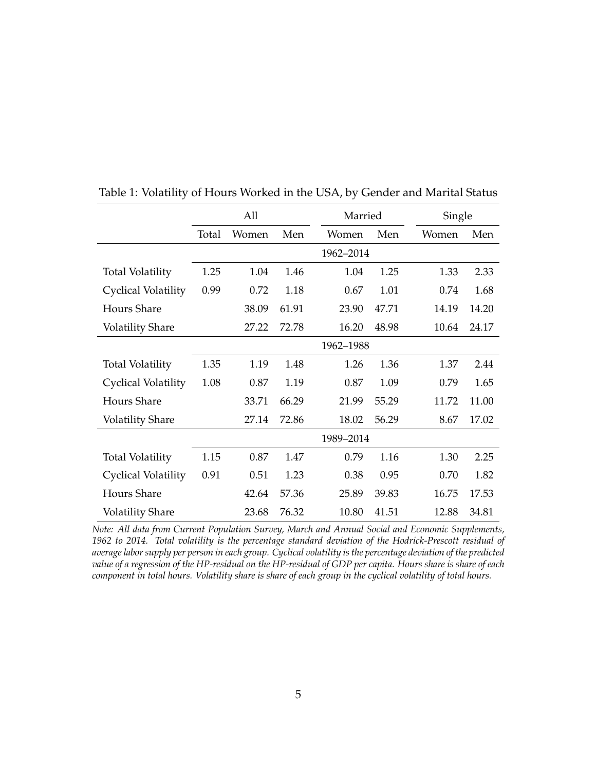|                            |       | All   |       | Married   |       | Single |       |
|----------------------------|-------|-------|-------|-----------|-------|--------|-------|
|                            | Total | Women | Men   | Women     | Men   | Women  | Men   |
|                            |       |       |       | 1962-2014 |       |        |       |
| <b>Total Volatility</b>    | 1.25  | 1.04  | 1.46  | 1.04      | 1.25  | 1.33   | 2.33  |
| Cyclical Volatility        | 0.99  | 0.72  | 1.18  | 0.67      | 1.01  | 0.74   | 1.68  |
| <b>Hours Share</b>         |       | 38.09 | 61.91 | 23.90     | 47.71 | 14.19  | 14.20 |
| <b>Volatility Share</b>    |       | 27.22 | 72.78 | 16.20     | 48.98 | 10.64  | 24.17 |
|                            |       |       |       | 1962-1988 |       |        |       |
| <b>Total Volatility</b>    | 1.35  | 1.19  | 1.48  | 1.26      | 1.36  | 1.37   | 2.44  |
| Cyclical Volatility        | 1.08  | 0.87  | 1.19  | 0.87      | 1.09  | 0.79   | 1.65  |
| <b>Hours Share</b>         |       | 33.71 | 66.29 | 21.99     | 55.29 | 11.72  | 11.00 |
| <b>Volatility Share</b>    |       | 27.14 | 72.86 | 18.02     | 56.29 | 8.67   | 17.02 |
|                            |       |       |       | 1989-2014 |       |        |       |
| <b>Total Volatility</b>    | 1.15  | 0.87  | 1.47  | 0.79      | 1.16  | 1.30   | 2.25  |
| <b>Cyclical Volatility</b> | 0.91  | 0.51  | 1.23  | 0.38      | 0.95  | 0.70   | 1.82  |
| Hours Share                |       | 42.64 | 57.36 | 25.89     | 39.83 | 16.75  | 17.53 |
| <b>Volatility Share</b>    |       | 23.68 | 76.32 | 10.80     | 41.51 | 12.88  | 34.81 |

<span id="page-5-0"></span>Table 1: Volatility of Hours Worked in the USA, by Gender and Marital Status

*Note: All data from Current Population Survey, March and Annual Social and Economic Supplements, 1962 to 2014. Total volatility is the percentage standard deviation of the Hodrick-Prescott residual of average labor supply per person in each group. Cyclical volatility is the percentage deviation of the predicted value of a regression of the HP-residual on the HP-residual of GDP per capita. Hours share is share of each component in total hours. Volatility share is share of each group in the cyclical volatility of total hours.*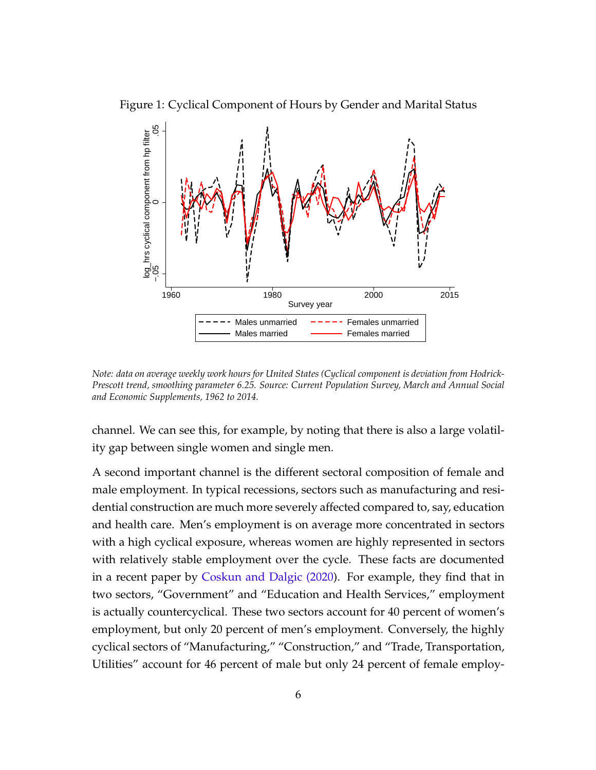

<span id="page-6-0"></span>

*Note: data on average weekly work hours for United States (Cyclical component is deviation from Hodrick-Prescott trend, smoothing parameter 6.25. Source: Current Population Survey, March and Annual Social and Economic Supplements, 1962 to 2014.*

channel. We can see this, for example, by noting that there is also a large volatility gap between single women and single men.

A second important channel is the different sectoral composition of female and male employment. In typical recessions, sectors such as manufacturing and residential construction are much more severely affected compared to, say, education and health care. Men's employment is on average more concentrated in sectors with a high cyclical exposure, whereas women are highly represented in sectors with relatively stable employment over the cycle. These facts are documented in a recent paper by [Coskun and Dalgic \(2020\)](#page-27-7). For example, they find that in two sectors, "Government" and "Education and Health Services," employment is actually countercyclical. These two sectors account for 40 percent of women's employment, but only 20 percent of men's employment. Conversely, the highly cyclical sectors of "Manufacturing," "Construction," and "Trade, Transportation, Utilities" account for 46 percent of male but only 24 percent of female employ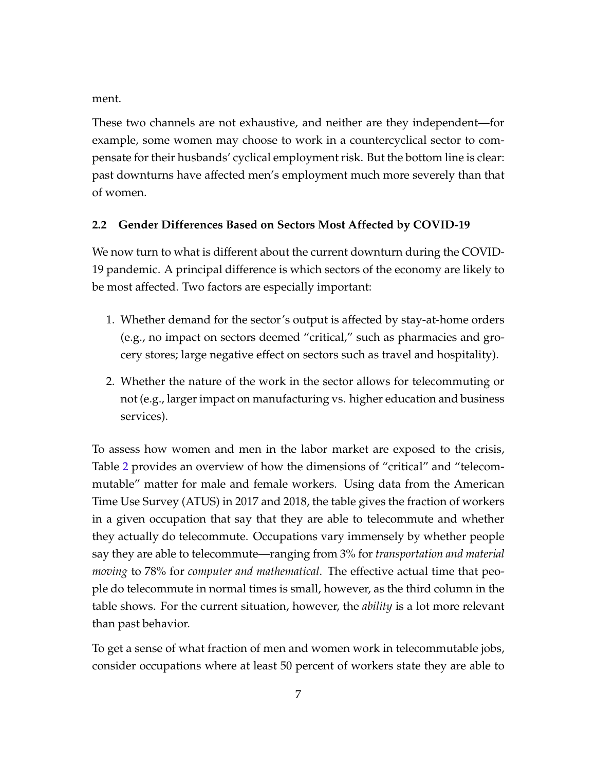ment.

These two channels are not exhaustive, and neither are they independent—for example, some women may choose to work in a countercyclical sector to compensate for their husbands' cyclical employment risk. But the bottom line is clear: past downturns have affected men's employment much more severely than that of women.

## <span id="page-7-0"></span>**2.2 Gender Differences Based on Sectors Most Affected by COVID-19**

We now turn to what is different about the current downturn during the COVID-19 pandemic. A principal difference is which sectors of the economy are likely to be most affected. Two factors are especially important:

- 1. Whether demand for the sector's output is affected by stay-at-home orders (e.g., no impact on sectors deemed "critical," such as pharmacies and grocery stores; large negative effect on sectors such as travel and hospitality).
- 2. Whether the nature of the work in the sector allows for telecommuting or not (e.g., larger impact on manufacturing vs. higher education and business services).

To assess how women and men in the labor market are exposed to the crisis, Table [2](#page-8-0) provides an overview of how the dimensions of "critical" and "telecommutable" matter for male and female workers. Using data from the American Time Use Survey (ATUS) in 2017 and 2018, the table gives the fraction of workers in a given occupation that say that they are able to telecommute and whether they actually do telecommute. Occupations vary immensely by whether people say they are able to telecommute—ranging from 3% for *transportation and material moving* to 78% for *computer and mathematical*. The effective actual time that people do telecommute in normal times is small, however, as the third column in the table shows. For the current situation, however, the *ability* is a lot more relevant than past behavior.

To get a sense of what fraction of men and women work in telecommutable jobs, consider occupations where at least 50 percent of workers state they are able to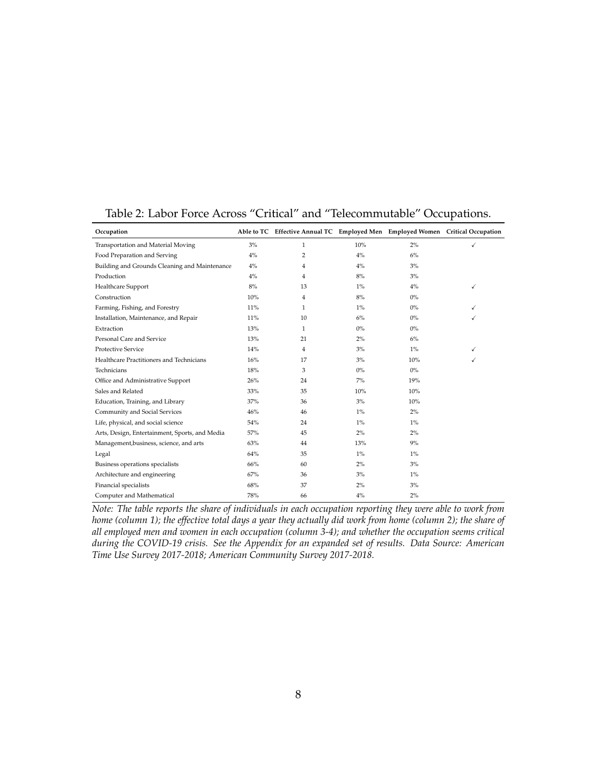| Occupation                                     |       | Able to TC Effective Annual TC Employed Men Employed Women Critical Occupation |       |       |   |
|------------------------------------------------|-------|--------------------------------------------------------------------------------|-------|-------|---|
| Transportation and Material Moving             | 3%    | 1                                                                              | 10%   | 2%    | ✓ |
| Food Preparation and Serving                   | $4\%$ | 2                                                                              | $4\%$ | 6%    |   |
| Building and Grounds Cleaning and Maintenance  | $4\%$ | 4                                                                              | $4\%$ | 3%    |   |
| Production                                     | $4\%$ | 4                                                                              | 8%    | 3%    |   |
| Healthcare Support                             | $8\%$ | 13                                                                             | $1\%$ | $4\%$ | ✓ |
| Construction                                   | 10%   | 4                                                                              | 8%    | $0\%$ |   |
| Farming, Fishing, and Forestry                 | 11%   | 1                                                                              | $1\%$ | $0\%$ | ✓ |
| Installation, Maintenance, and Repair          | 11%   | 10                                                                             | $6\%$ | $0\%$ | ✓ |
| Extraction                                     | 13%   | 1                                                                              | $0\%$ | $0\%$ |   |
| Personal Care and Service                      | 13%   | 21                                                                             | $2\%$ | 6%    |   |
| <b>Protective Service</b>                      | 14%   | 4                                                                              | 3%    | $1\%$ | ✓ |
| Healthcare Practitioners and Technicians       | 16%   | 17                                                                             | 3%    | 10%   | ✓ |
| Technicians                                    | 18%   | 3                                                                              | $0\%$ | $0\%$ |   |
| Office and Administrative Support              | 26%   | 24                                                                             | $7\%$ | 19%   |   |
| Sales and Related                              | 33%   | 35                                                                             | 10%   | 10%   |   |
| Education, Training, and Library               | 37%   | 36                                                                             | 3%    | 10%   |   |
| Community and Social Services                  | 46%   | 46                                                                             | $1\%$ | 2%    |   |
| Life, physical, and social science             | 54%   | 24                                                                             | $1\%$ | $1\%$ |   |
| Arts, Design, Entertainment, Sports, and Media | 57%   | 45                                                                             | $2\%$ | 2%    |   |
| Management, business, science, and arts        | 63%   | 44                                                                             | 13%   | 9%    |   |
| Legal                                          | 64%   | 35                                                                             | $1\%$ | $1\%$ |   |
| Business operations specialists                | 66%   | 60                                                                             | $2\%$ | 3%    |   |
| Architecture and engineering                   | 67%   | 36                                                                             | 3%    | $1\%$ |   |
| Financial specialists                          | 68%   | 37                                                                             | $2\%$ | 3%    |   |
| Computer and Mathematical                      | 78%   | 66                                                                             | $4\%$ | 2%    |   |

## <span id="page-8-0"></span>Table 2: Labor Force Across "Critical" and "Telecommutable" Occupations.

*Note: The table reports the share of individuals in each occupation reporting they were able to work from home (column 1); the effective total days a year they actually did work from home (column 2); the share of all employed men and women in each occupation (column 3-4); and whether the occupation seems critical during the COVID-19 crisis. See the Appendix for an expanded set of results. Data Source: American Time Use Survey 2017-2018; American Community Survey 2017-2018.*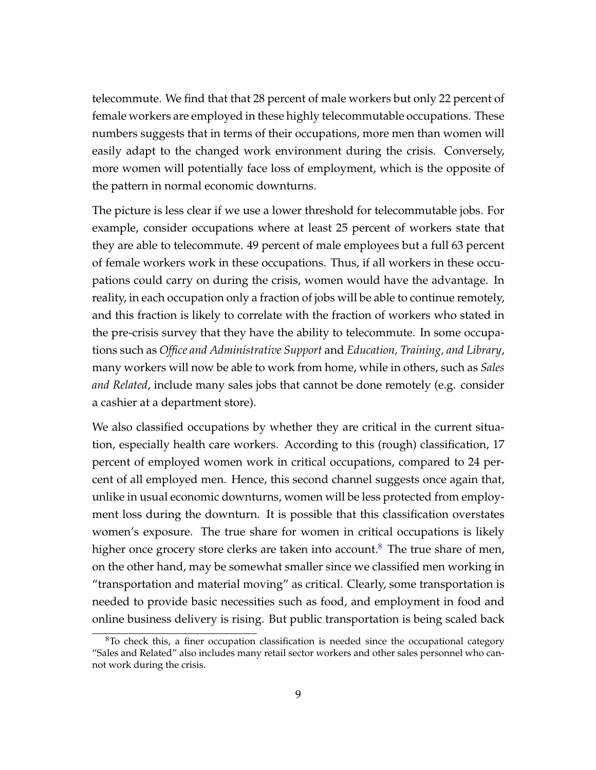telecommute. We find that that 28 percent of male workers but only 22 percent of female workers are employed in these highly telecommutable occupations. These numbers suggests that in terms of their occupations, more men than women will easily adapt to the changed work environment during the crisis. Conversely, more women will potentially face loss of employment, which is the opposite of the pattern in normal economic downturns.

The picture is less clear if we use a lower threshold for telecommutable jobs. For example, consider occupations where at least 25 percent of workers state that they are able to telecommute. 49 percent of male employees but a full 63 percent of female workers work in these occupations. Thus, if all workers in these occupations could carry on during the crisis, women would have the advantage. In reality, in each occupation only a fraction of jobs will be able to continue remotely, and this fraction is likely to correlate with the fraction of workers who stated in the pre-crisis survey that they have the ability to telecommute. In some occupations such as *Office and Administrative Support* and *Education, Training, and Library*, many workers will now be able to work from home, while in others, such as *Sales and Related*, include many sales jobs that cannot be done remotely (e.g. consider a cashier at a department store).

We also classified occupations by whether they are critical in the current situation, especially health care workers. According to this (rough) classification, 17 percent of employed women work in critical occupations, compared to 24 percent of all employed men. Hence, this second channel suggests once again that, unlike in usual economic downturns, women will be less protected from employment loss during the downturn. It is possible that this classification overstates women's exposure. The true share for women in critical occupations is likely higher once grocery store clerks are taken into account.<sup>[8](#page-9-0)</sup> The true share of men, on the other hand, may be somewhat smaller since we classified men working in "transportation and material moving" as critical. Clearly, some transportation is needed to provide basic necessities such as food, and employment in food and online business delivery is rising. But public transportation is being scaled back

<span id="page-9-0"></span><sup>&</sup>lt;sup>8</sup>To check this, a finer occupation classification is needed since the occupational category "Sales and Related" also includes many retail sector workers and other sales personnel who cannot work during the crisis.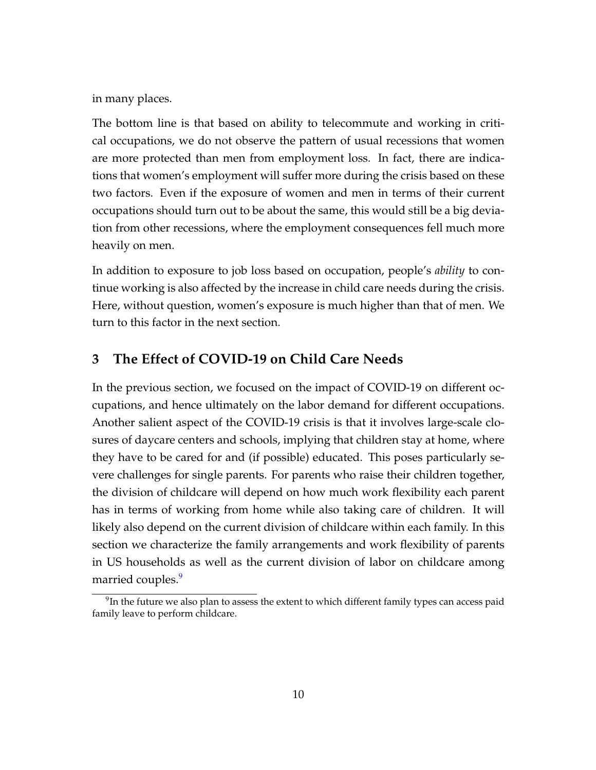in many places.

The bottom line is that based on ability to telecommute and working in critical occupations, we do not observe the pattern of usual recessions that women are more protected than men from employment loss. In fact, there are indications that women's employment will suffer more during the crisis based on these two factors. Even if the exposure of women and men in terms of their current occupations should turn out to be about the same, this would still be a big deviation from other recessions, where the employment consequences fell much more heavily on men.

In addition to exposure to job loss based on occupation, people's *ability* to continue working is also affected by the increase in child care needs during the crisis. Here, without question, women's exposure is much higher than that of men. We turn to this factor in the next section.

# **3 The Effect of COVID-19 on Child Care Needs**

In the previous section, we focused on the impact of COVID-19 on different occupations, and hence ultimately on the labor demand for different occupations. Another salient aspect of the COVID-19 crisis is that it involves large-scale closures of daycare centers and schools, implying that children stay at home, where they have to be cared for and (if possible) educated. This poses particularly severe challenges for single parents. For parents who raise their children together, the division of childcare will depend on how much work flexibility each parent has in terms of working from home while also taking care of children. It will likely also depend on the current division of childcare within each family. In this section we characterize the family arrangements and work flexibility of parents in US households as well as the current division of labor on childcare among married couples.<sup>[9](#page-10-0)</sup>

<span id="page-10-0"></span> $^{9}$ In the future we also plan to assess the extent to which different family types can access paid family leave to perform childcare.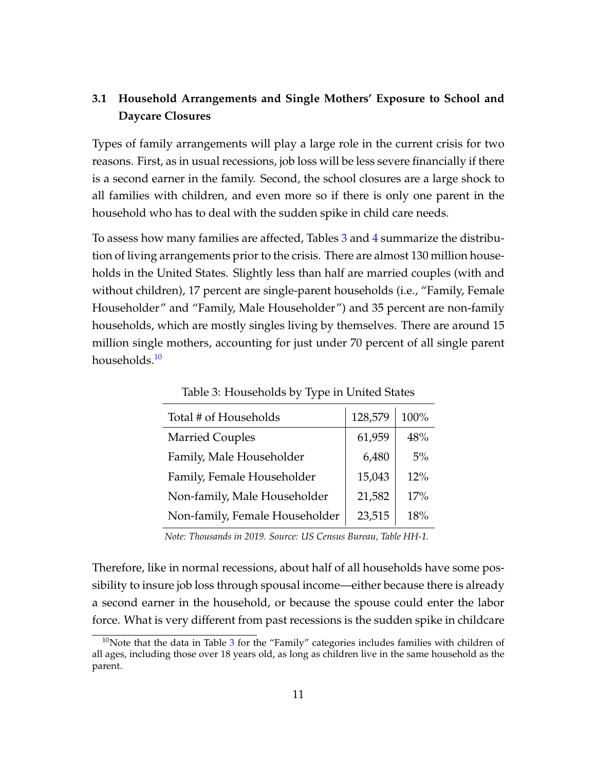## **3.1 Household Arrangements and Single Mothers' Exposure to School and Daycare Closures**

Types of family arrangements will play a large role in the current crisis for two reasons. First, as in usual recessions, job loss will be less severe financially if there is a second earner in the family. Second, the school closures are a large shock to all families with children, and even more so if there is only one parent in the household who has to deal with the sudden spike in child care needs.

To assess how many families are affected, Tables [3](#page-11-0) and [4](#page-12-0) summarize the distribution of living arrangements prior to the crisis. There are almost 130 million households in the United States. Slightly less than half are married couples (with and without children), 17 percent are single-parent households (i.e., "Family, Female Householder" and "Family, Male Householder") and 35 percent are non-family households, which are mostly singles living by themselves. There are around 15 million single mothers, accounting for just under 70 percent of all single parent households.[10](#page-11-1)

| Total # of Households          | 128,579 | 100% |
|--------------------------------|---------|------|
| <b>Married Couples</b>         | 61,959  | 48%  |
| Family, Male Householder       | 6,480   | 5%   |
| Family, Female Householder     | 15,043  | 12%  |
| Non-family, Male Householder   | 21,582  | 17%  |
| Non-family, Female Householder | 23,515  | 18%  |

<span id="page-11-0"></span>Table 3: Households by Type in United States

*Note: Thousands in 2019. Source: US Census Bureau, Table HH-1.*

Therefore, like in normal recessions, about half of all households have some possibility to insure job loss through spousal income—either because there is already a second earner in the household, or because the spouse could enter the labor force. What is very different from past recessions is the sudden spike in childcare

<span id="page-11-1"></span> $10$ Note that the data in Table [3](#page-11-0) for the "Family" categories includes families with children of all ages, including those over 18 years old, as long as children live in the same household as the parent.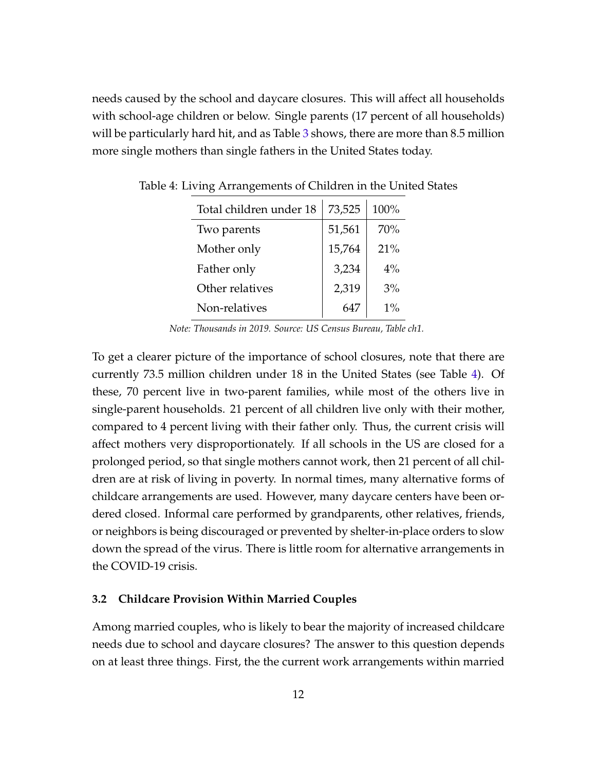needs caused by the school and daycare closures. This will affect all households with school-age children or below. Single parents (17 percent of all households) will be particularly hard hit, and as Table [3](#page-11-0) shows, there are more than 8.5 million more single mothers than single fathers in the United States today.

<span id="page-12-0"></span>

| Total children under 18 | 73,525 | 100%  |
|-------------------------|--------|-------|
| Two parents             | 51,561 | 70%   |
| Mother only             | 15,764 | 21%   |
| Father only             | 3,234  | $4\%$ |
| Other relatives         | 2,319  | 3%    |
| Non-relatives           |        | $1\%$ |

Table 4: Living Arrangements of Children in the United States

*Note: Thousands in 2019. Source: US Census Bureau, Table ch1.*

To get a clearer picture of the importance of school closures, note that there are currently 73.5 million children under 18 in the United States (see Table [4\)](#page-12-0). Of these, 70 percent live in two-parent families, while most of the others live in single-parent households. 21 percent of all children live only with their mother, compared to 4 percent living with their father only. Thus, the current crisis will affect mothers very disproportionately. If all schools in the US are closed for a prolonged period, so that single mothers cannot work, then 21 percent of all children are at risk of living in poverty. In normal times, many alternative forms of childcare arrangements are used. However, many daycare centers have been ordered closed. Informal care performed by grandparents, other relatives, friends, or neighbors is being discouraged or prevented by shelter-in-place orders to slow down the spread of the virus. There is little room for alternative arrangements in the COVID-19 crisis.

#### **3.2 Childcare Provision Within Married Couples**

Among married couples, who is likely to bear the majority of increased childcare needs due to school and daycare closures? The answer to this question depends on at least three things. First, the the current work arrangements within married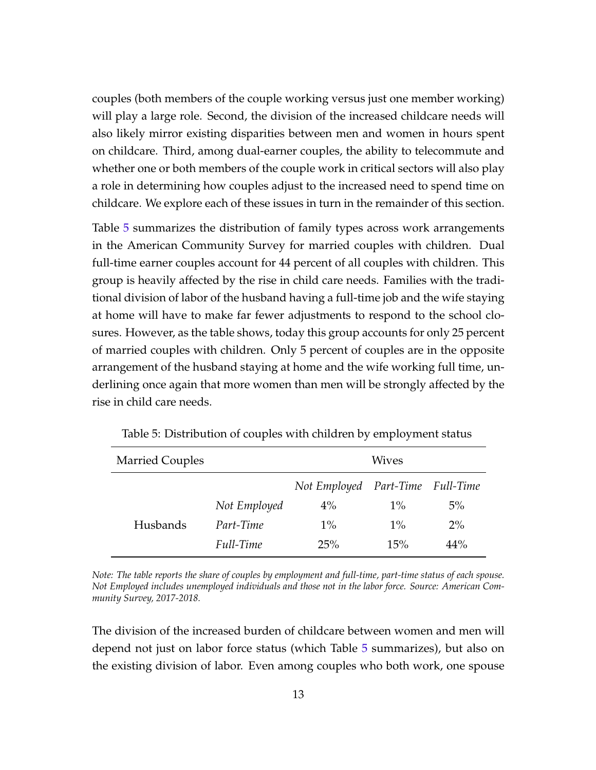couples (both members of the couple working versus just one member working) will play a large role. Second, the division of the increased childcare needs will also likely mirror existing disparities between men and women in hours spent on childcare. Third, among dual-earner couples, the ability to telecommute and whether one or both members of the couple work in critical sectors will also play a role in determining how couples adjust to the increased need to spend time on childcare. We explore each of these issues in turn in the remainder of this section.

Table [5](#page-13-0) summarizes the distribution of family types across work arrangements in the American Community Survey for married couples with children. Dual full-time earner couples account for 44 percent of all couples with children. This group is heavily affected by the rise in child care needs. Families with the traditional division of labor of the husband having a full-time job and the wife staying at home will have to make far fewer adjustments to respond to the school closures. However, as the table shows, today this group accounts for only 25 percent of married couples with children. Only 5 percent of couples are in the opposite arrangement of the husband staying at home and the wife working full time, underlining once again that more women than men will be strongly affected by the rise in child care needs.

| <b>Married Couples</b> |              |                                  | Wives |       |
|------------------------|--------------|----------------------------------|-------|-------|
|                        |              | Not Employed Part-Time Full-Time |       |       |
|                        | Not Employed | 4%                               | $1\%$ | $5\%$ |
| Husbands               | Part-Time    | $1\%$                            | $1\%$ | $2\%$ |
|                        | Full-Time    | 25%                              | 15%   | 44%   |

<span id="page-13-0"></span>Table 5: Distribution of couples with children by employment status

*Note: The table reports the share of couples by employment and full-time, part-time status of each spouse. Not Employed includes unemployed individuals and those not in the labor force. Source: American Community Survey, 2017-2018.*

The division of the increased burden of childcare between women and men will depend not just on labor force status (which Table [5](#page-13-0) summarizes), but also on the existing division of labor. Even among couples who both work, one spouse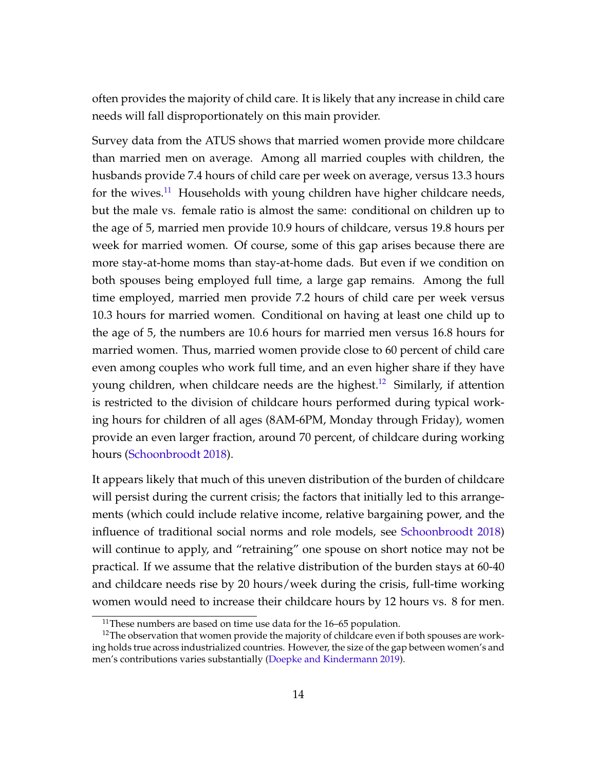often provides the majority of child care. It is likely that any increase in child care needs will fall disproportionately on this main provider.

Survey data from the ATUS shows that married women provide more childcare than married men on average. Among all married couples with children, the husbands provide 7.4 hours of child care per week on average, versus 13.3 hours for the wives.<sup>[11](#page-14-0)</sup> Households with young children have higher childcare needs, but the male vs. female ratio is almost the same: conditional on children up to the age of 5, married men provide 10.9 hours of childcare, versus 19.8 hours per week for married women. Of course, some of this gap arises because there are more stay-at-home moms than stay-at-home dads. But even if we condition on both spouses being employed full time, a large gap remains. Among the full time employed, married men provide 7.2 hours of child care per week versus 10.3 hours for married women. Conditional on having at least one child up to the age of 5, the numbers are 10.6 hours for married men versus 16.8 hours for married women. Thus, married women provide close to 60 percent of child care even among couples who work full time, and an even higher share if they have young children, when childcare needs are the highest.<sup>[12](#page-14-1)</sup> Similarly, if attention is restricted to the division of childcare hours performed during typical working hours for children of all ages (8AM-6PM, Monday through Friday), women provide an even larger fraction, around 70 percent, of childcare during working hours [\(Schoonbroodt 2018\)](#page-29-5).

It appears likely that much of this uneven distribution of the burden of childcare will persist during the current crisis; the factors that initially led to this arrangements (which could include relative income, relative bargaining power, and the influence of traditional social norms and role models, see [Schoonbroodt 2018\)](#page-29-5) will continue to apply, and "retraining" one spouse on short notice may not be practical. If we assume that the relative distribution of the burden stays at 60-40 and childcare needs rise by 20 hours/week during the crisis, full-time working women would need to increase their childcare hours by 12 hours vs. 8 for men.

<span id="page-14-1"></span><span id="page-14-0"></span><sup>&</sup>lt;sup>11</sup>These numbers are based on time use data for the  $16-65$  population.

<sup>&</sup>lt;sup>12</sup>The observation that women provide the majority of childcare even if both spouses are working holds true across industrialized countries. However, the size of the gap between women's and men's contributions varies substantially [\(Doepke and Kindermann 2019\)](#page-27-8).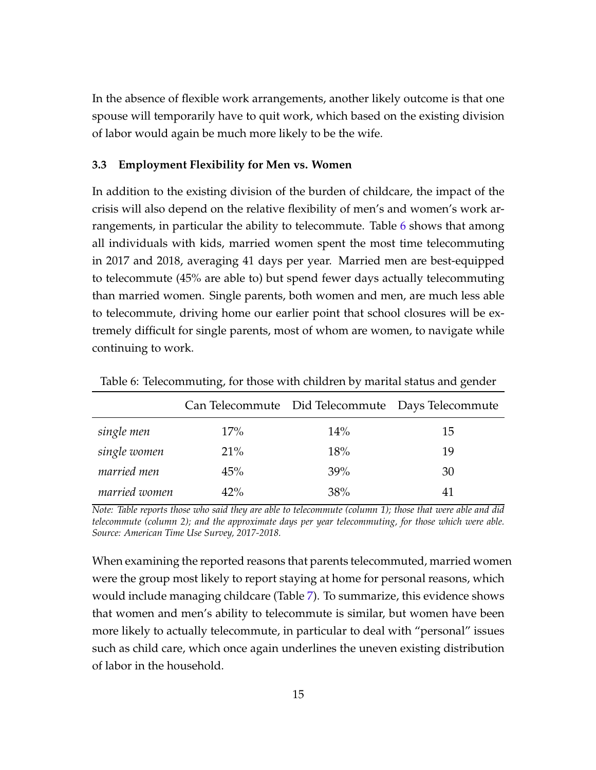In the absence of flexible work arrangements, another likely outcome is that one spouse will temporarily have to quit work, which based on the existing division of labor would again be much more likely to be the wife.

#### **3.3 Employment Flexibility for Men vs. Women**

In addition to the existing division of the burden of childcare, the impact of the crisis will also depend on the relative flexibility of men's and women's work arrangements, in particular the ability to telecommute. Table [6](#page-15-0) shows that among all individuals with kids, married women spent the most time telecommuting in 2017 and 2018, averaging 41 days per year. Married men are best-equipped to telecommute (45% are able to) but spend fewer days actually telecommuting than married women. Single parents, both women and men, are much less able to telecommute, driving home our earlier point that school closures will be extremely difficult for single parents, most of whom are women, to navigate while continuing to work.

|               |        |     | Can Telecommute Did Telecommute Days Telecommute |
|---------------|--------|-----|--------------------------------------------------|
| single men    | 17%    | 14% | 15                                               |
| single women  | 21%    | 18% | 19                                               |
| married men   | 45%    | 39% | 30                                               |
| married women | $42\%$ | 38% | 41                                               |

<span id="page-15-0"></span>Table 6: Telecommuting, for those with children by marital status and gender

*Note: Table reports those who said they are able to telecommute (column 1); those that were able and did telecommute (column 2); and the approximate days per year telecommuting, for those which were able. Source: American Time Use Survey, 2017-2018.*

When examining the reported reasons that parents telecommuted, married women were the group most likely to report staying at home for personal reasons, which would include managing childcare (Table [7\)](#page-16-0). To summarize, this evidence shows that women and men's ability to telecommute is similar, but women have been more likely to actually telecommute, in particular to deal with "personal" issues such as child care, which once again underlines the uneven existing distribution of labor in the household.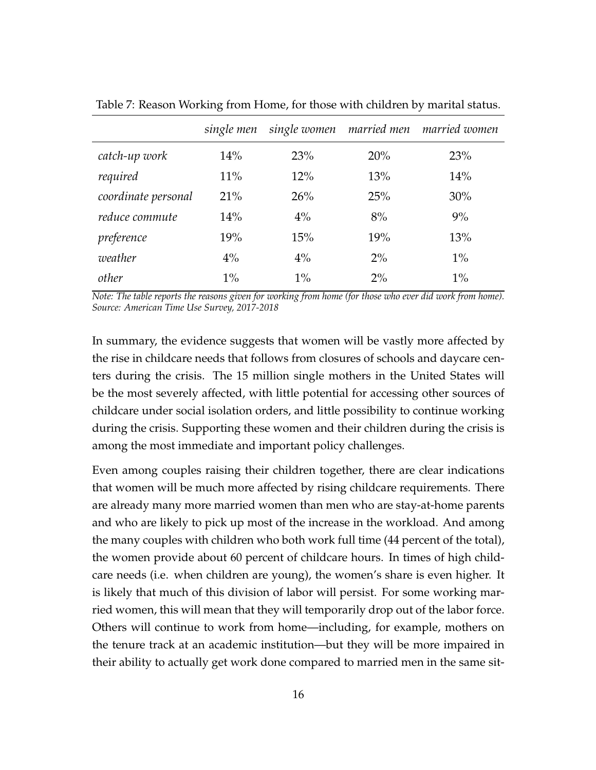|                     | single men |       |       | single women married men married women |
|---------------------|------------|-------|-------|----------------------------------------|
| catch-up work       | 14%        | 23%   | 20%   | 23%                                    |
| required            | 11%        | 12%   | 13%   | 14%                                    |
| coordinate personal | 21%        | 26%   | 25%   | 30%                                    |
| reduce commute      | 14%        | $4\%$ | 8%    | 9%                                     |
| preference          | 19%        | 15%   | 19%   | 13%                                    |
| weather             | $4\%$      | $4\%$ | $2\%$ | $1\%$                                  |
| other               | $1\%$      | $1\%$ | $2\%$ | $1\%$                                  |

<span id="page-16-0"></span>Table 7: Reason Working from Home, for those with children by marital status.

*Note: The table reports the reasons given for working from home (for those who ever did work from home). Source: American Time Use Survey, 2017-2018*

In summary, the evidence suggests that women will be vastly more affected by the rise in childcare needs that follows from closures of schools and daycare centers during the crisis. The 15 million single mothers in the United States will be the most severely affected, with little potential for accessing other sources of childcare under social isolation orders, and little possibility to continue working during the crisis. Supporting these women and their children during the crisis is among the most immediate and important policy challenges.

Even among couples raising their children together, there are clear indications that women will be much more affected by rising childcare requirements. There are already many more married women than men who are stay-at-home parents and who are likely to pick up most of the increase in the workload. And among the many couples with children who both work full time (44 percent of the total), the women provide about 60 percent of childcare hours. In times of high childcare needs (i.e. when children are young), the women's share is even higher. It is likely that much of this division of labor will persist. For some working married women, this will mean that they will temporarily drop out of the labor force. Others will continue to work from home—including, for example, mothers on the tenure track at an academic institution—but they will be more impaired in their ability to actually get work done compared to married men in the same sit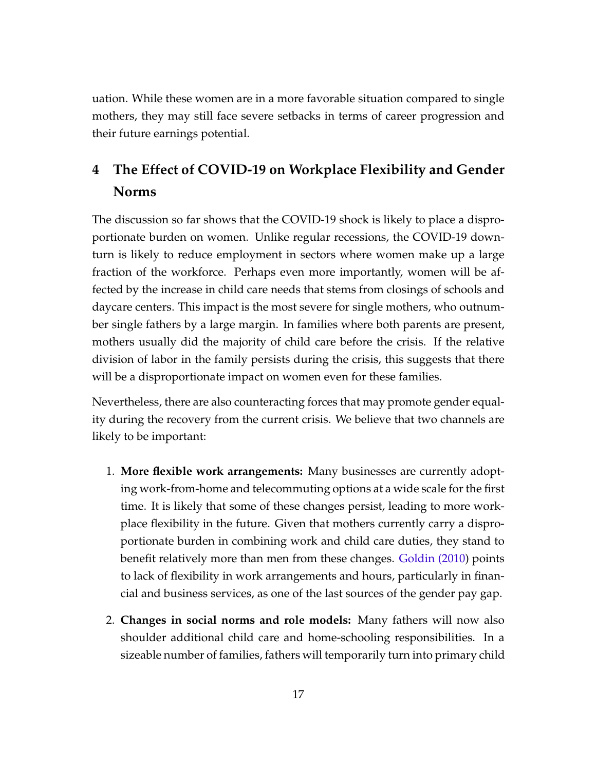uation. While these women are in a more favorable situation compared to single mothers, they may still face severe setbacks in terms of career progression and their future earnings potential.

# **4 The Effect of COVID-19 on Workplace Flexibility and Gender Norms**

The discussion so far shows that the COVID-19 shock is likely to place a disproportionate burden on women. Unlike regular recessions, the COVID-19 downturn is likely to reduce employment in sectors where women make up a large fraction of the workforce. Perhaps even more importantly, women will be affected by the increase in child care needs that stems from closings of schools and daycare centers. This impact is the most severe for single mothers, who outnumber single fathers by a large margin. In families where both parents are present, mothers usually did the majority of child care before the crisis. If the relative division of labor in the family persists during the crisis, this suggests that there will be a disproportionate impact on women even for these families.

Nevertheless, there are also counteracting forces that may promote gender equality during the recovery from the current crisis. We believe that two channels are likely to be important:

- 1. **More flexible work arrangements:** Many businesses are currently adopting work-from-home and telecommuting options at a wide scale for the first time. It is likely that some of these changes persist, leading to more workplace flexibility in the future. Given that mothers currently carry a disproportionate burden in combining work and child care duties, they stand to benefit relatively more than men from these changes. [Goldin \(2010\)](#page-28-5) points to lack of flexibility in work arrangements and hours, particularly in financial and business services, as one of the last sources of the gender pay gap.
- 2. **Changes in social norms and role models:** Many fathers will now also shoulder additional child care and home-schooling responsibilities. In a sizeable number of families, fathers will temporarily turn into primary child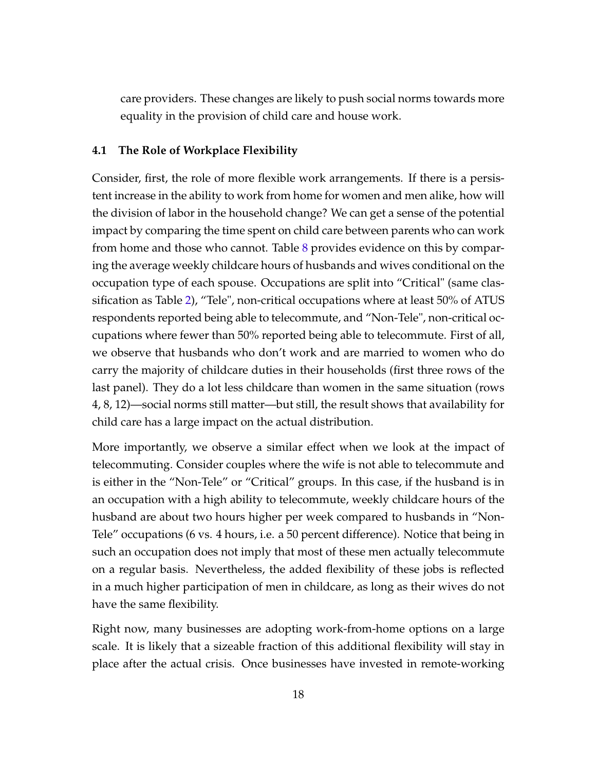care providers. These changes are likely to push social norms towards more equality in the provision of child care and house work.

#### **4.1 The Role of Workplace Flexibility**

Consider, first, the role of more flexible work arrangements. If there is a persistent increase in the ability to work from home for women and men alike, how will the division of labor in the household change? We can get a sense of the potential impact by comparing the time spent on child care between parents who can work from home and those who cannot. Table [8](#page-19-0) provides evidence on this by comparing the average weekly childcare hours of husbands and wives conditional on the occupation type of each spouse. Occupations are split into "Critical" (same classification as Table [2\)](#page-8-0), "Tele", non-critical occupations where at least 50% of ATUS respondents reported being able to telecommute, and "Non-Tele", non-critical occupations where fewer than 50% reported being able to telecommute. First of all, we observe that husbands who don't work and are married to women who do carry the majority of childcare duties in their households (first three rows of the last panel). They do a lot less childcare than women in the same situation (rows 4, 8, 12)—social norms still matter—but still, the result shows that availability for child care has a large impact on the actual distribution.

More importantly, we observe a similar effect when we look at the impact of telecommuting. Consider couples where the wife is not able to telecommute and is either in the "Non-Tele" or "Critical" groups. In this case, if the husband is in an occupation with a high ability to telecommute, weekly childcare hours of the husband are about two hours higher per week compared to husbands in "Non-Tele" occupations (6 vs. 4 hours, i.e. a 50 percent difference). Notice that being in such an occupation does not imply that most of these men actually telecommute on a regular basis. Nevertheless, the added flexibility of these jobs is reflected in a much higher participation of men in childcare, as long as their wives do not have the same flexibility.

Right now, many businesses are adopting work-from-home options on a large scale. It is likely that a sizeable fraction of this additional flexibility will stay in place after the actual crisis. Once businesses have invested in remote-working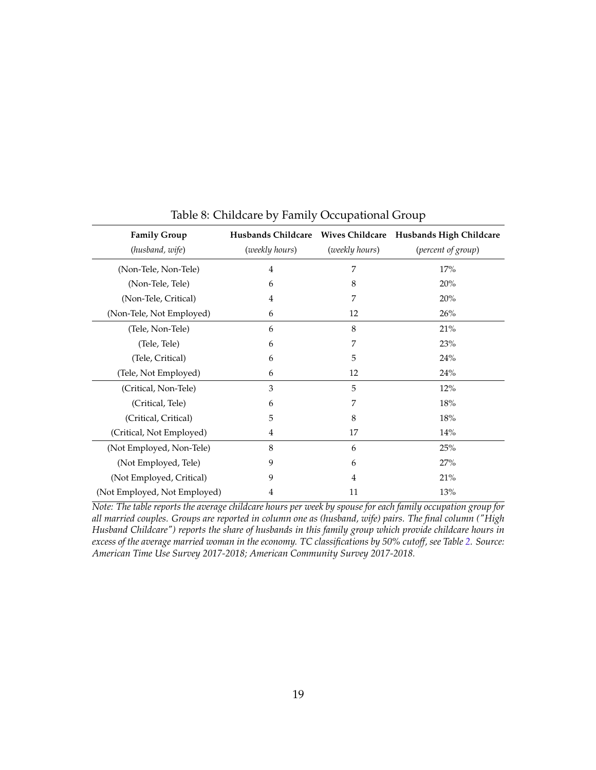| <b>Family Group</b>          |                |                | Husbands Childcare Wives Childcare Husbands High Childcare |
|------------------------------|----------------|----------------|------------------------------------------------------------|
| (husband, wife)              | (weekly hours) | (weekly hours) | (percent of group)                                         |
| (Non-Tele, Non-Tele)         | $\overline{4}$ | 7              | 17%                                                        |
| (Non-Tele, Tele)             | 6              | 8              | 20%                                                        |
| (Non-Tele, Critical)         | $\overline{4}$ | 7              | 20%                                                        |
| (Non-Tele, Not Employed)     | 6              | 12             | 26%                                                        |
| (Tele, Non-Tele)             | 6              | 8              | 21%                                                        |
| (Tele, Tele)                 | 6              | 7              | 23%                                                        |
| (Tele, Critical)             | 6              | 5              | 24%                                                        |
| (Tele, Not Employed)         | 6              | 12             | 24%                                                        |
| (Critical, Non-Tele)         | 3              | 5              | 12%                                                        |
| (Critical, Tele)             | 6              | 7              | 18%                                                        |
| (Critical, Critical)         | 5              | 8              | 18%                                                        |
| (Critical, Not Employed)     | 4              | 17             | 14%                                                        |
| (Not Employed, Non-Tele)     | 8              | 6              | 25%                                                        |
| (Not Employed, Tele)         | 9              | 6              | 27%                                                        |
| (Not Employed, Critical)     | 9              | 4              | 21%                                                        |
| (Not Employed, Not Employed) | 4              | 11             | 13%                                                        |

<span id="page-19-0"></span>Table 8: Childcare by Family Occupational Group

*Note: The table reports the average childcare hours per week by spouse for each family occupation group for all married couples. Groups are reported in column one as (husband, wife) pairs. The final column ("High Husband Childcare") reports the share of husbands in this family group which provide childcare hours in excess of the average married woman in the economy. TC classifications by 50% cutoff, see Table [2.](#page-8-0) Source: American Time Use Survey 2017-2018; American Community Survey 2017-2018.*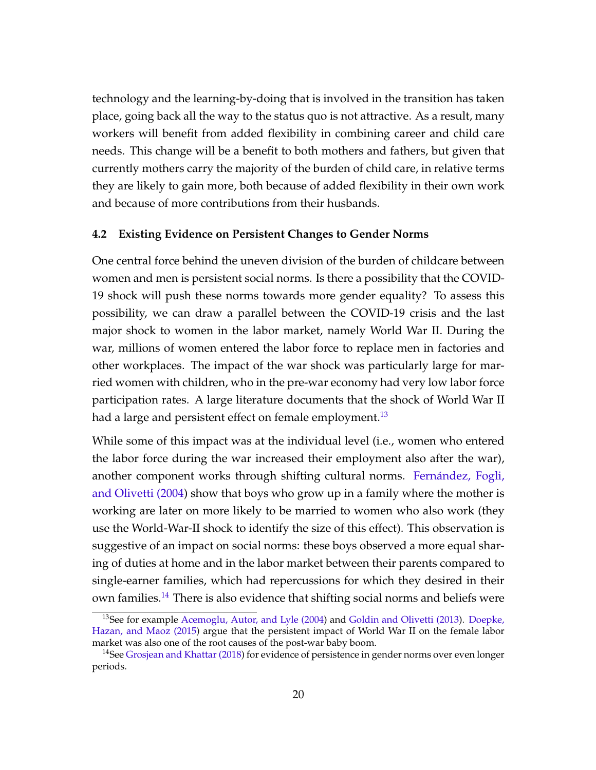technology and the learning-by-doing that is involved in the transition has taken place, going back all the way to the status quo is not attractive. As a result, many workers will benefit from added flexibility in combining career and child care needs. This change will be a benefit to both mothers and fathers, but given that currently mothers carry the majority of the burden of child care, in relative terms they are likely to gain more, both because of added flexibility in their own work and because of more contributions from their husbands.

#### **4.2 Existing Evidence on Persistent Changes to Gender Norms**

One central force behind the uneven division of the burden of childcare between women and men is persistent social norms. Is there a possibility that the COVID-19 shock will push these norms towards more gender equality? To assess this possibility, we can draw a parallel between the COVID-19 crisis and the last major shock to women in the labor market, namely World War II. During the war, millions of women entered the labor force to replace men in factories and other workplaces. The impact of the war shock was particularly large for married women with children, who in the pre-war economy had very low labor force participation rates. A large literature documents that the shock of World War II had a large and persistent effect on female employment.<sup>[13](#page-20-0)</sup>

While some of this impact was at the individual level (i.e., women who entered the labor force during the war increased their employment also after the war), another component works through shifting cultural norms. [Fernández, Fogli,](#page-28-6) [and Olivetti \(2004\)](#page-28-6) show that boys who grow up in a family where the mother is working are later on more likely to be married to women who also work (they use the World-War-II shock to identify the size of this effect). This observation is suggestive of an impact on social norms: these boys observed a more equal sharing of duties at home and in the labor market between their parents compared to single-earner families, which had repercussions for which they desired in their own families.<sup>[14](#page-20-1)</sup> There is also evidence that shifting social norms and beliefs were

<span id="page-20-0"></span><sup>&</sup>lt;sup>13</sup>See for example [Acemoglu, Autor, and Lyle \(2004\)](#page-26-0) and [Goldin and Olivetti \(2013\)](#page-28-7). [Doepke,](#page-27-9) [Hazan, and Maoz \(2015\)](#page-27-9) argue that the persistent impact of World War II on the female labor market was also one of the root causes of the post-war baby boom.

<span id="page-20-1"></span><sup>&</sup>lt;sup>14</sup>See [Grosjean and Khattar \(2018\)](#page-28-8) for evidence of persistence in gender norms over even longer periods.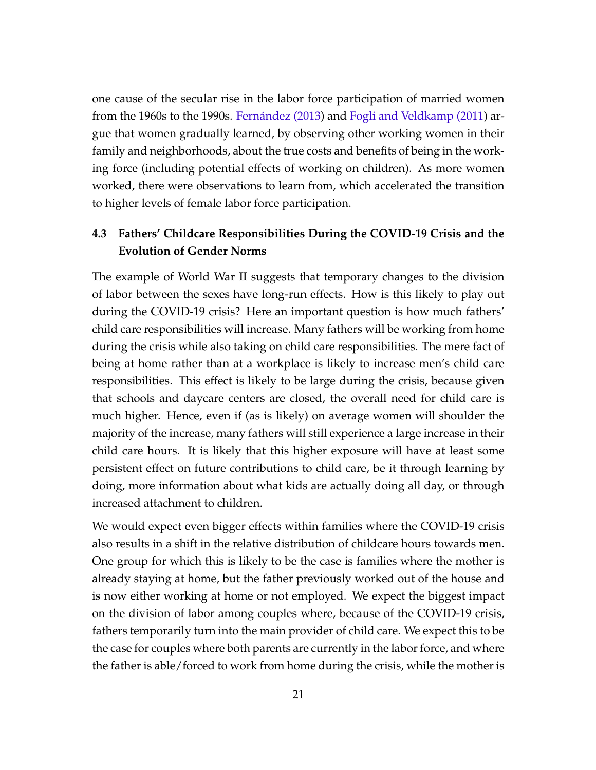one cause of the secular rise in the labor force participation of married women from the 1960s to the 1990s. [Fernández \(2013\)](#page-28-9) and [Fogli and Veldkamp \(2011\)](#page-28-10) argue that women gradually learned, by observing other working women in their family and neighborhoods, about the true costs and benefits of being in the working force (including potential effects of working on children). As more women worked, there were observations to learn from, which accelerated the transition to higher levels of female labor force participation.

## **4.3 Fathers' Childcare Responsibilities During the COVID-19 Crisis and the Evolution of Gender Norms**

The example of World War II suggests that temporary changes to the division of labor between the sexes have long-run effects. How is this likely to play out during the COVID-19 crisis? Here an important question is how much fathers' child care responsibilities will increase. Many fathers will be working from home during the crisis while also taking on child care responsibilities. The mere fact of being at home rather than at a workplace is likely to increase men's child care responsibilities. This effect is likely to be large during the crisis, because given that schools and daycare centers are closed, the overall need for child care is much higher. Hence, even if (as is likely) on average women will shoulder the majority of the increase, many fathers will still experience a large increase in their child care hours. It is likely that this higher exposure will have at least some persistent effect on future contributions to child care, be it through learning by doing, more information about what kids are actually doing all day, or through increased attachment to children.

We would expect even bigger effects within families where the COVID-19 crisis also results in a shift in the relative distribution of childcare hours towards men. One group for which this is likely to be the case is families where the mother is already staying at home, but the father previously worked out of the house and is now either working at home or not employed. We expect the biggest impact on the division of labor among couples where, because of the COVID-19 crisis, fathers temporarily turn into the main provider of child care. We expect this to be the case for couples where both parents are currently in the labor force, and where the father is able/forced to work from home during the crisis, while the mother is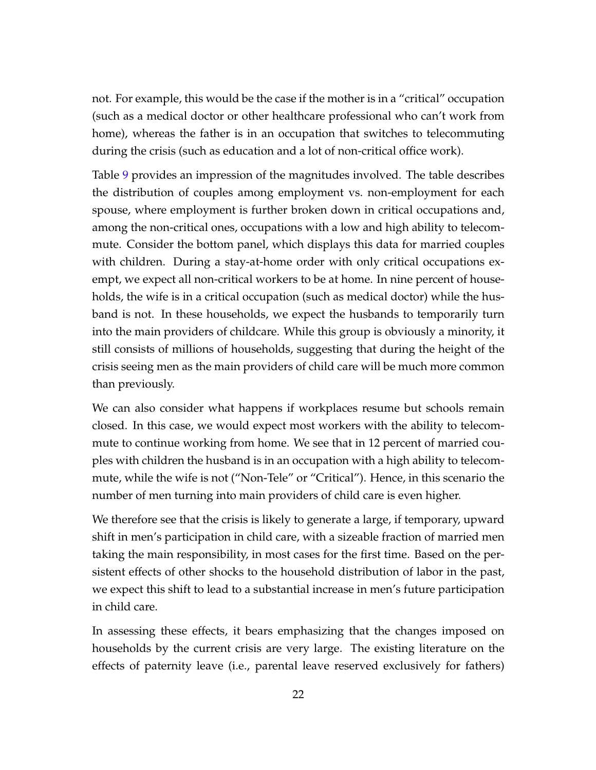not. For example, this would be the case if the mother is in a "critical" occupation (such as a medical doctor or other healthcare professional who can't work from home), whereas the father is in an occupation that switches to telecommuting during the crisis (such as education and a lot of non-critical office work).

Table [9](#page-23-0) provides an impression of the magnitudes involved. The table describes the distribution of couples among employment vs. non-employment for each spouse, where employment is further broken down in critical occupations and, among the non-critical ones, occupations with a low and high ability to telecommute. Consider the bottom panel, which displays this data for married couples with children. During a stay-at-home order with only critical occupations exempt, we expect all non-critical workers to be at home. In nine percent of households, the wife is in a critical occupation (such as medical doctor) while the husband is not. In these households, we expect the husbands to temporarily turn into the main providers of childcare. While this group is obviously a minority, it still consists of millions of households, suggesting that during the height of the crisis seeing men as the main providers of child care will be much more common than previously.

We can also consider what happens if workplaces resume but schools remain closed. In this case, we would expect most workers with the ability to telecommute to continue working from home. We see that in 12 percent of married couples with children the husband is in an occupation with a high ability to telecommute, while the wife is not ("Non-Tele" or "Critical"). Hence, in this scenario the number of men turning into main providers of child care is even higher.

We therefore see that the crisis is likely to generate a large, if temporary, upward shift in men's participation in child care, with a sizeable fraction of married men taking the main responsibility, in most cases for the first time. Based on the persistent effects of other shocks to the household distribution of labor in the past, we expect this shift to lead to a substantial increase in men's future participation in child care.

In assessing these effects, it bears emphasizing that the changes imposed on households by the current crisis are very large. The existing literature on the effects of paternity leave (i.e., parental leave reserved exclusively for fathers)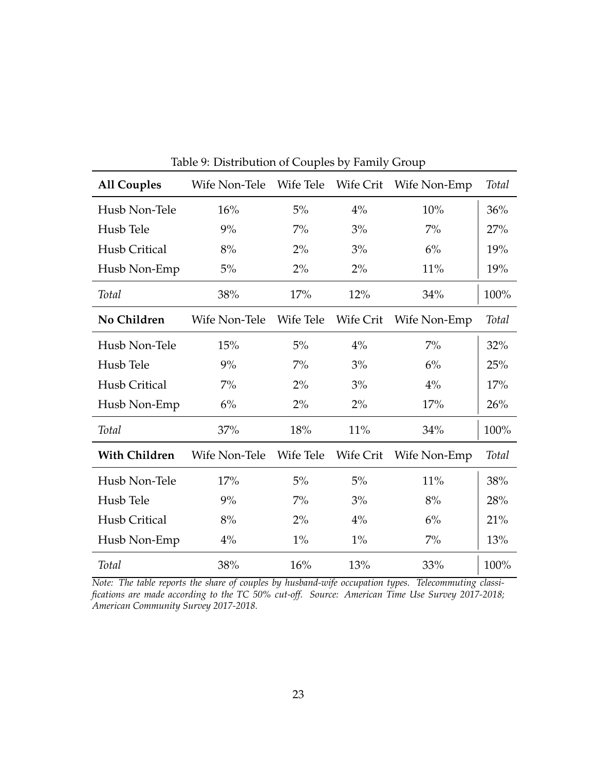| <b>All Couples</b>   | Wife Non-Tele | Wife Tele | Wife Crit | Wife Non-Emp | Total        |
|----------------------|---------------|-----------|-----------|--------------|--------------|
| Husb Non-Tele        | 16%           | 5%        | 4%        | 10%          | 36%          |
| Husb Tele            | 9%            | $7\%$     | 3%        | $7\%$        | 27%          |
| Husb Critical        | 8%            | $2\%$     | 3%        | $6\%$        | 19%          |
| Husb Non-Emp         | 5%            | 2%        | 2%        | 11%          | 19%          |
| <b>Total</b>         | 38%           | 17%       | 12%       | 34%          | 100%         |
| No Children          | Wife Non-Tele | Wife Tele | Wife Crit | Wife Non-Emp | <b>Total</b> |
| Husb Non-Tele        | 15%           | 5%        | $4\%$     | $7\%$        | 32%          |
| Husb Tele            | 9%            | $7\%$     | 3%        | 6%           | 25%          |
| Husb Critical        | $7\%$         | 2%        | 3%        | 4%           | 17%          |
| Husb Non-Emp         | 6%            | 2%        | 2%        | 17%          | 26%          |
| Total                | 37%           | 18%       | 11%       | 34%          | 100%         |
| <b>With Children</b> | Wife Non-Tele | Wife Tele | Wife Crit | Wife Non-Emp | <b>Total</b> |
| Husb Non-Tele        | 17%           | 5%        | 5%        | 11%          | 38%          |
| Husb Tele            | 9%            | $7\%$     | 3%        | 8%           | 28%          |
| Husb Critical        | 8%            | $2\%$     | 4%        | 6%           | 21%          |
| Husb Non-Emp         | $4\%$         | $1\%$     | $1\%$     | $7\%$        | 13%          |
| <b>Total</b>         | 38%           | 16%       | 13%       | 33%          | 100%         |

<span id="page-23-0"></span>Table 9: Distribution of Couples by Family Group

*Note: The table reports the share of couples by husband-wife occupation types. Telecommuting classifications are made according to the TC 50% cut-off. Source: American Time Use Survey 2017-2018; American Community Survey 2017-2018.*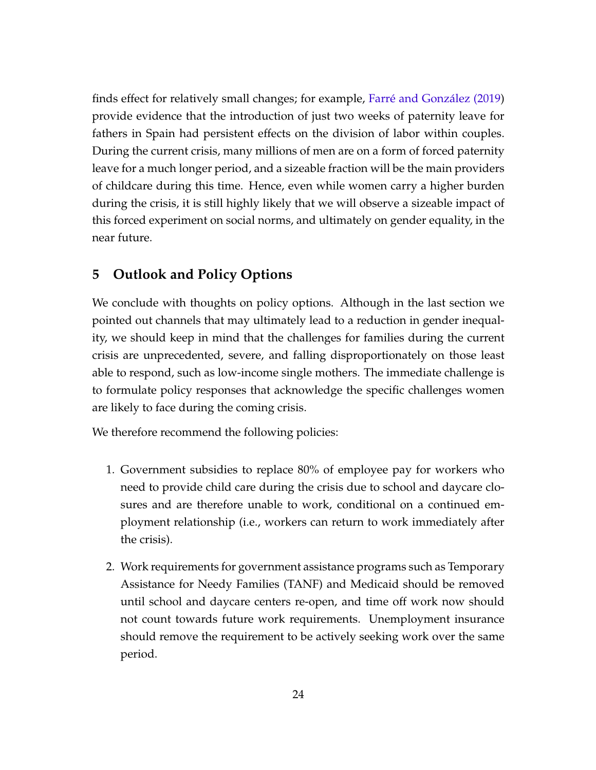finds effect for relatively small changes; for example, [Farré and González \(2019\)](#page-28-3) provide evidence that the introduction of just two weeks of paternity leave for fathers in Spain had persistent effects on the division of labor within couples. During the current crisis, many millions of men are on a form of forced paternity leave for a much longer period, and a sizeable fraction will be the main providers of childcare during this time. Hence, even while women carry a higher burden during the crisis, it is still highly likely that we will observe a sizeable impact of this forced experiment on social norms, and ultimately on gender equality, in the near future.

## **5 Outlook and Policy Options**

We conclude with thoughts on policy options. Although in the last section we pointed out channels that may ultimately lead to a reduction in gender inequality, we should keep in mind that the challenges for families during the current crisis are unprecedented, severe, and falling disproportionately on those least able to respond, such as low-income single mothers. The immediate challenge is to formulate policy responses that acknowledge the specific challenges women are likely to face during the coming crisis.

We therefore recommend the following policies:

- 1. Government subsidies to replace 80% of employee pay for workers who need to provide child care during the crisis due to school and daycare closures and are therefore unable to work, conditional on a continued employment relationship (i.e., workers can return to work immediately after the crisis).
- 2. Work requirements for government assistance programs such as Temporary Assistance for Needy Families (TANF) and Medicaid should be removed until school and daycare centers re-open, and time off work now should not count towards future work requirements. Unemployment insurance should remove the requirement to be actively seeking work over the same period.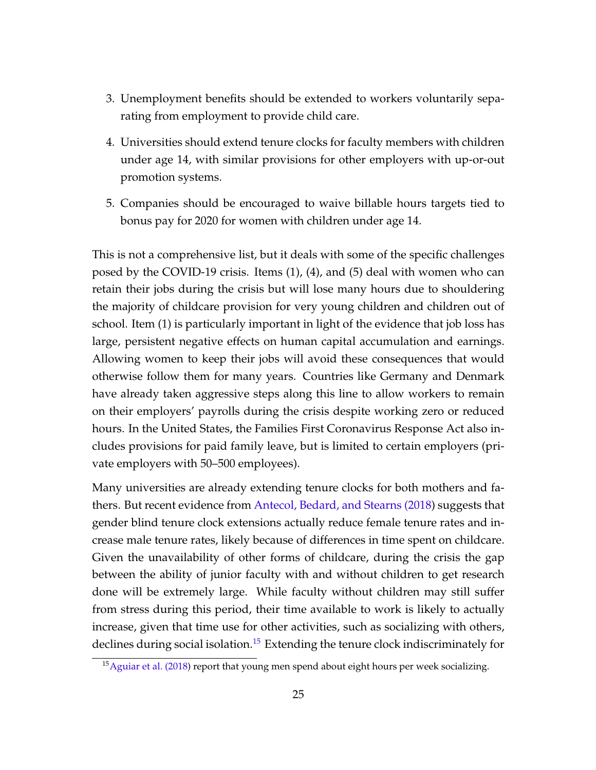- 3. Unemployment benefits should be extended to workers voluntarily separating from employment to provide child care.
- 4. Universities should extend tenure clocks for faculty members with children under age 14, with similar provisions for other employers with up-or-out promotion systems.
- 5. Companies should be encouraged to waive billable hours targets tied to bonus pay for 2020 for women with children under age 14.

This is not a comprehensive list, but it deals with some of the specific challenges posed by the COVID-19 crisis. Items (1), (4), and (5) deal with women who can retain their jobs during the crisis but will lose many hours due to shouldering the majority of childcare provision for very young children and children out of school. Item (1) is particularly important in light of the evidence that job loss has large, persistent negative effects on human capital accumulation and earnings. Allowing women to keep their jobs will avoid these consequences that would otherwise follow them for many years. Countries like Germany and Denmark have already taken aggressive steps along this line to allow workers to remain on their employers' payrolls during the crisis despite working zero or reduced hours. In the United States, the Families First Coronavirus Response Act also includes provisions for paid family leave, but is limited to certain employers (private employers with 50–500 employees).

Many universities are already extending tenure clocks for both mothers and fathers. But recent evidence from [Antecol, Bedard, and Stearns \(2018\)](#page-27-10) suggests that gender blind tenure clock extensions actually reduce female tenure rates and increase male tenure rates, likely because of differences in time spent on childcare. Given the unavailability of other forms of childcare, during the crisis the gap between the ability of junior faculty with and without children to get research done will be extremely large. While faculty without children may still suffer from stress during this period, their time available to work is likely to actually increase, given that time use for other activities, such as socializing with others, declines during social isolation.<sup>[15](#page-25-0)</sup> Extending the tenure clock indiscriminately for

<span id="page-25-0"></span><sup>&</sup>lt;sup>15</sup> [Aguiar et al. \(2018\)](#page-26-1) report that young men spend about eight hours per week socializing.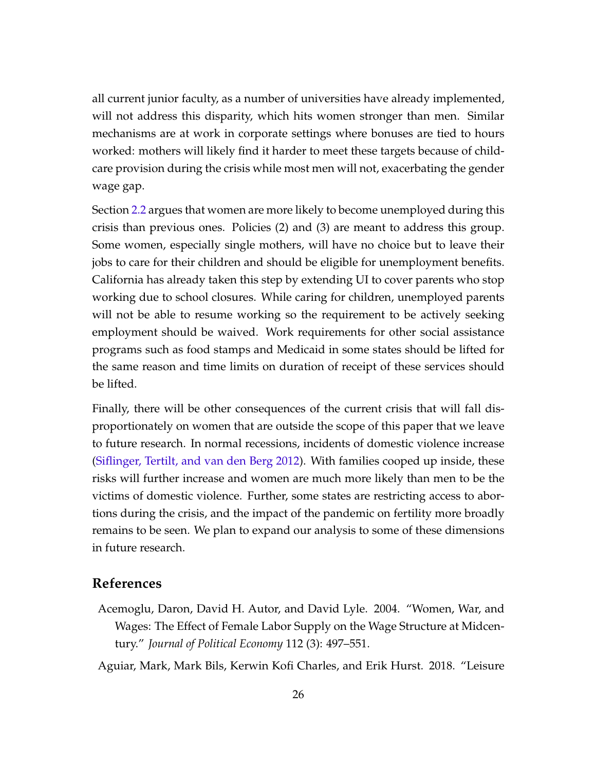all current junior faculty, as a number of universities have already implemented, will not address this disparity, which hits women stronger than men. Similar mechanisms are at work in corporate settings where bonuses are tied to hours worked: mothers will likely find it harder to meet these targets because of childcare provision during the crisis while most men will not, exacerbating the gender wage gap.

Section [2.2](#page-7-0) argues that women are more likely to become unemployed during this crisis than previous ones. Policies (2) and (3) are meant to address this group. Some women, especially single mothers, will have no choice but to leave their jobs to care for their children and should be eligible for unemployment benefits. California has already taken this step by extending UI to cover parents who stop working due to school closures. While caring for children, unemployed parents will not be able to resume working so the requirement to be actively seeking employment should be waived. Work requirements for other social assistance programs such as food stamps and Medicaid in some states should be lifted for the same reason and time limits on duration of receipt of these services should be lifted.

Finally, there will be other consequences of the current crisis that will fall disproportionately on women that are outside the scope of this paper that we leave to future research. In normal recessions, incidents of domestic violence increase [\(Siflinger, Tertilt, and van den Berg 2012\)](#page-29-6). With families cooped up inside, these risks will further increase and women are much more likely than men to be the victims of domestic violence. Further, some states are restricting access to abortions during the crisis, and the impact of the pandemic on fertility more broadly remains to be seen. We plan to expand our analysis to some of these dimensions in future research.

## <span id="page-26-0"></span>**References**

- Acemoglu, Daron, David H. Autor, and David Lyle. 2004. "Women, War, and Wages: The Effect of Female Labor Supply on the Wage Structure at Midcentury." *Journal of Political Economy* 112 (3): 497–551.
- <span id="page-26-1"></span>Aguiar, Mark, Mark Bils, Kerwin Kofi Charles, and Erik Hurst. 2018. "Leisure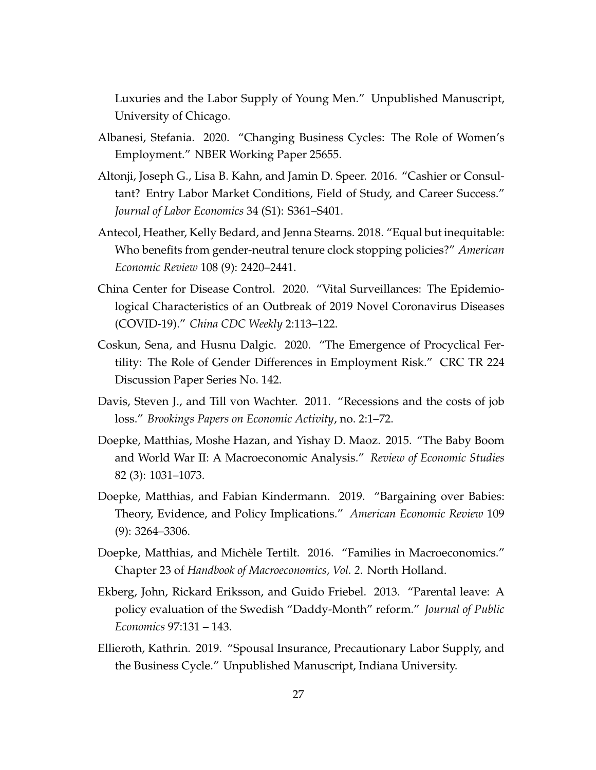Luxuries and the Labor Supply of Young Men." Unpublished Manuscript, University of Chicago.

- <span id="page-27-5"></span>Albanesi, Stefania. 2020. "Changing Business Cycles: The Role of Women's Employment." NBER Working Paper 25655.
- <span id="page-27-2"></span>Altonji, Joseph G., Lisa B. Kahn, and Jamin D. Speer. 2016. "Cashier or Consultant? Entry Labor Market Conditions, Field of Study, and Career Success." *Journal of Labor Economics* 34 (S1): S361–S401.
- <span id="page-27-10"></span>Antecol, Heather, Kelly Bedard, and Jenna Stearns. 2018. "Equal but inequitable: Who benefits from gender-neutral tenure clock stopping policies?" *American Economic Review* 108 (9): 2420–2441.
- <span id="page-27-1"></span>China Center for Disease Control. 2020. "Vital Surveillances: The Epidemiological Characteristics of an Outbreak of 2019 Novel Coronavirus Diseases (COVID-19)." *China CDC Weekly* 2:113–122.
- <span id="page-27-7"></span>Coskun, Sena, and Husnu Dalgic. 2020. "The Emergence of Procyclical Fertility: The Role of Gender Differences in Employment Risk." CRC TR 224 Discussion Paper Series No. 142.
- <span id="page-27-0"></span>Davis, Steven J., and Till von Wachter. 2011. "Recessions and the costs of job loss." *Brookings Papers on Economic Activity*, no. 2:1–72.
- <span id="page-27-9"></span>Doepke, Matthias, Moshe Hazan, and Yishay D. Maoz. 2015. "The Baby Boom and World War II: A Macroeconomic Analysis." *Review of Economic Studies* 82 (3): 1031–1073.
- <span id="page-27-8"></span>Doepke, Matthias, and Fabian Kindermann. 2019. "Bargaining over Babies: Theory, Evidence, and Policy Implications." *American Economic Review* 109 (9): 3264–3306.
- <span id="page-27-4"></span>Doepke, Matthias, and Michèle Tertilt. 2016. "Families in Macroeconomics." Chapter 23 of *Handbook of Macroeconomics, Vol. 2*. North Holland.
- <span id="page-27-3"></span>Ekberg, John, Rickard Eriksson, and Guido Friebel. 2013. "Parental leave: A policy evaluation of the Swedish "Daddy-Month" reform." *Journal of Public Economics* 97:131 – 143.
- <span id="page-27-6"></span>Ellieroth, Kathrin. 2019. "Spousal Insurance, Precautionary Labor Supply, and the Business Cycle." Unpublished Manuscript, Indiana University.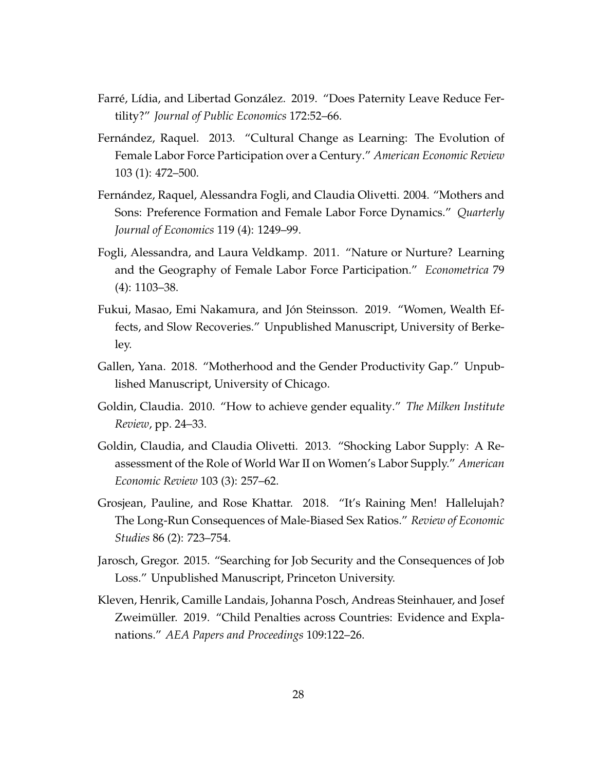- <span id="page-28-3"></span>Farré, Lídia, and Libertad González. 2019. "Does Paternity Leave Reduce Fertility?" *Journal of Public Economics* 172:52–66.
- <span id="page-28-9"></span>Fernández, Raquel. 2013. "Cultural Change as Learning: The Evolution of Female Labor Force Participation over a Century." *American Economic Review* 103 (1): 472–500.
- <span id="page-28-6"></span>Fernández, Raquel, Alessandra Fogli, and Claudia Olivetti. 2004. "Mothers and Sons: Preference Formation and Female Labor Force Dynamics." *Quarterly Journal of Economics* 119 (4): 1249–99.
- <span id="page-28-10"></span>Fogli, Alessandra, and Laura Veldkamp. 2011. "Nature or Nurture? Learning and the Geography of Female Labor Force Participation." *Econometrica* 79 (4): 1103–38.
- <span id="page-28-4"></span>Fukui, Masao, Emi Nakamura, and Jón Steinsson. 2019. "Women, Wealth Effects, and Slow Recoveries." Unpublished Manuscript, University of Berkeley.
- <span id="page-28-2"></span>Gallen, Yana. 2018. "Motherhood and the Gender Productivity Gap." Unpublished Manuscript, University of Chicago.
- <span id="page-28-5"></span>Goldin, Claudia. 2010. "How to achieve gender equality." *The Milken Institute Review*, pp. 24–33.
- <span id="page-28-7"></span>Goldin, Claudia, and Claudia Olivetti. 2013. "Shocking Labor Supply: A Reassessment of the Role of World War II on Women's Labor Supply." *American Economic Review* 103 (3): 257–62.
- <span id="page-28-8"></span>Grosjean, Pauline, and Rose Khattar. 2018. "It's Raining Men! Hallelujah? The Long-Run Consequences of Male-Biased Sex Ratios." *Review of Economic Studies* 86 (2): 723–754.
- <span id="page-28-0"></span>Jarosch, Gregor. 2015. "Searching for Job Security and the Consequences of Job Loss." Unpublished Manuscript, Princeton University.
- <span id="page-28-1"></span>Kleven, Henrik, Camille Landais, Johanna Posch, Andreas Steinhauer, and Josef Zweimüller. 2019. "Child Penalties across Countries: Evidence and Explanations." *AEA Papers and Proceedings* 109:122–26.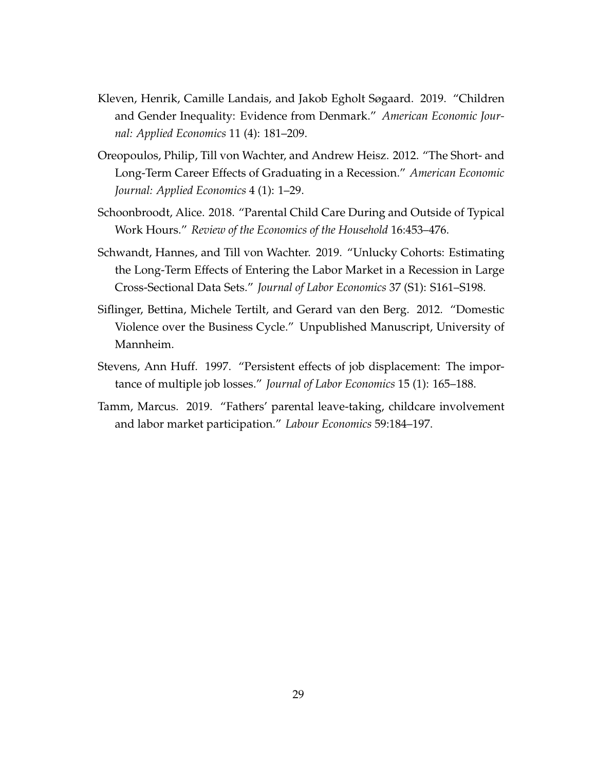- <span id="page-29-3"></span>Kleven, Henrik, Camille Landais, and Jakob Egholt Søgaard. 2019. "Children and Gender Inequality: Evidence from Denmark." *American Economic Journal: Applied Economics* 11 (4): 181–209.
- <span id="page-29-1"></span>Oreopoulos, Philip, Till von Wachter, and Andrew Heisz. 2012. "The Short- and Long-Term Career Effects of Graduating in a Recession." *American Economic Journal: Applied Economics* 4 (1): 1–29.
- <span id="page-29-5"></span>Schoonbroodt, Alice. 2018. "Parental Child Care During and Outside of Typical Work Hours." *Review of the Economics of the Household* 16:453–476.
- <span id="page-29-2"></span>Schwandt, Hannes, and Till von Wachter. 2019. "Unlucky Cohorts: Estimating the Long-Term Effects of Entering the Labor Market in a Recession in Large Cross-Sectional Data Sets." *Journal of Labor Economics* 37 (S1): S161–S198.
- <span id="page-29-6"></span>Siflinger, Bettina, Michele Tertilt, and Gerard van den Berg. 2012. "Domestic Violence over the Business Cycle." Unpublished Manuscript, University of Mannheim.
- <span id="page-29-0"></span>Stevens, Ann Huff. 1997. "Persistent effects of job displacement: The importance of multiple job losses." *Journal of Labor Economics* 15 (1): 165–188.
- <span id="page-29-4"></span>Tamm, Marcus. 2019. "Fathers' parental leave-taking, childcare involvement and labor market participation." *Labour Economics* 59:184–197.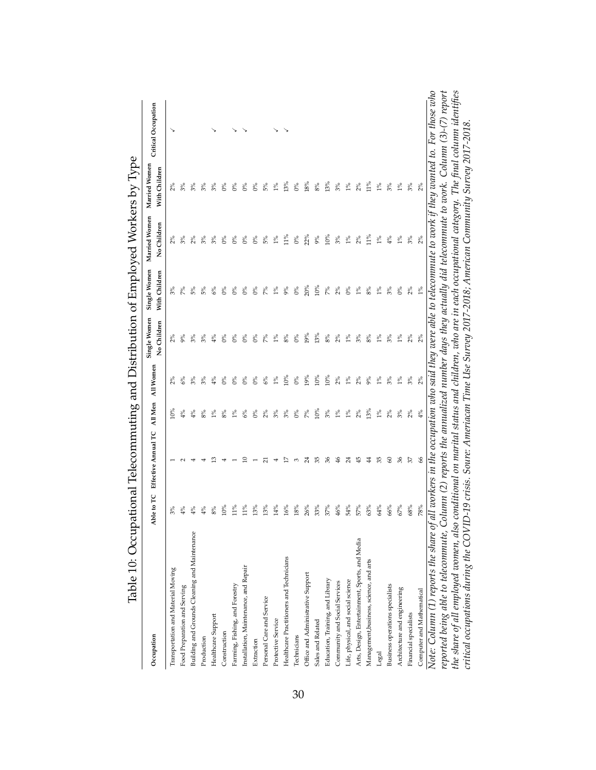| Table 10: Occup                                                                                                                                     |            | ational Telecommuting and Distribution of Employed Workers by Type                           |         |                |                             |                               |                              |                                |                                                                                                                |
|-----------------------------------------------------------------------------------------------------------------------------------------------------|------------|----------------------------------------------------------------------------------------------|---------|----------------|-----------------------------|-------------------------------|------------------------------|--------------------------------|----------------------------------------------------------------------------------------------------------------|
| Occupation                                                                                                                                          | Able to TC | Effective Annual TC                                                                          | All Men | All Women      | Single Women<br>No Children | Single Women<br>With Children | Married Women<br>No Children | Married Women<br>With Children | Critical Occupation                                                                                            |
| Transportation and Material Moving                                                                                                                  |            |                                                                                              | $10\%$  |                | 2%                          |                               | $2\%$                        |                                |                                                                                                                |
| Food Preparation and Serving                                                                                                                        | 4%         |                                                                                              | 4%      | $6\%$          | 9%                          | 7%                            | $\frac{5}{6}$                | 3%                             |                                                                                                                |
| Building and Grounds Cleaning and Maintenance                                                                                                       | 4%         |                                                                                              | 4%      | 3%             |                             | 5%                            |                              | 3%                             |                                                                                                                |
| Production                                                                                                                                          | 4%         |                                                                                              | 8%      | 3%             | $3\%$                       | 5%                            | 3%                           | 3%                             |                                                                                                                |
| Healthcare Support                                                                                                                                  | 8%         |                                                                                              | $1\%$   | 4%             | $\frac{5}{6}$               | 6%                            | 3%                           | 3%                             |                                                                                                                |
| Construction                                                                                                                                        | 10%        |                                                                                              | 8%      | $0\%$          | $0\%$                       | $0\%$                         | $0\%$                        | $0\%$                          |                                                                                                                |
| Farming, Fishing, and Forestry                                                                                                                      | $11\%$     |                                                                                              | $1\%$   | 6 <sup>8</sup> | $0\%$                       | $0\%$                         | $0\%$                        | $0\%$                          |                                                                                                                |
| Installation, Maintenance, and Repair                                                                                                               | $11\%$     |                                                                                              | 6%      | $0\%$          | $0\%$                       | $0\%$                         | $0\%$                        | $0\%$                          |                                                                                                                |
| Extraction                                                                                                                                          | 13%        |                                                                                              | $0\%$   | $0\%$          | $0\%$                       | $0\%$                         | $0\%$                        | $0\%$                          |                                                                                                                |
| Personal Care and Service                                                                                                                           | 13%        | ಸ                                                                                            | 2%      | 6%             | 7%                          | 7%                            | 5%                           | 5%                             |                                                                                                                |
| Protective Service                                                                                                                                  | 14%        |                                                                                              | 3%      | $1\%$          | $1\%$                       | $1\%$                         | $1\%$                        | $1\%$                          |                                                                                                                |
| Healthcare Practitioners and Technicians                                                                                                            | 16%        |                                                                                              | 3%      | 10%            | 8%                          | 9%                            | 11%                          | 13%                            |                                                                                                                |
| Technicians                                                                                                                                         | 18%        | 3                                                                                            | $0\%$   | $0\%$          | $0\%$                       | $0\%$                         | $0\%$                        | $0\%$                          |                                                                                                                |
| Office and Administrative Support                                                                                                                   | 26%        | र्द                                                                                          | 7%      | 19%            | 19%                         | 20%                           | 22%                          | 18%                            |                                                                                                                |
| Sales and Related                                                                                                                                   | 33%        | ౘ                                                                                            | 10%     | 10%            | 13%                         | 10%                           | 9%                           | 8%                             |                                                                                                                |
| Education, Training, and Library                                                                                                                    | 37%        | 36                                                                                           | 3%      | 10%            | $8\%$                       | 7%                            | 10%                          | 13%                            |                                                                                                                |
| Community and Social Services                                                                                                                       | 46%        | \$                                                                                           | $1\%$   | $2\%$          | $2\%$                       | $2\%$                         | $3\%$                        | 3%                             |                                                                                                                |
| Life, physical, and social science                                                                                                                  | 54%        | र्द                                                                                          | $1\%$   | $1\%$          | $1\%$                       | $0\%$                         | $1\%$                        | $1\%$                          |                                                                                                                |
| Arts, Design, Entertainment, Sports, and Media                                                                                                      | 57%        | ₩                                                                                            | $2\%$   | $2\%$          | 3%                          | $1\%$                         | 2%                           | $2\%$                          |                                                                                                                |
| Management, business, science, and arts                                                                                                             | 63%        | \$                                                                                           | 13%     | 9%             | 8%                          | 8%                            | 11%                          | $11\%$                         |                                                                                                                |
| Legal                                                                                                                                               | 64%        | 35                                                                                           | $1\%$   | $1\%$          | $1\%$                       | $1\%$                         | $1\%$                        | $1\%$                          |                                                                                                                |
| Business operations specialists                                                                                                                     | 66%        | 8                                                                                            | 2%      | 3%             | 3%                          | 3%                            | 4%                           | 3%                             |                                                                                                                |
| Architecture and engineering                                                                                                                        | $67\%$     | 96                                                                                           | 3%      | $1\%$          | $1\%$                       | $0\%$                         | $1\%$                        | $1\%$                          |                                                                                                                |
| Financial specialists                                                                                                                               | 68%        | 57                                                                                           | 2%      | 3%             | 2%                          | 2%                            | 3%                           | 3%                             |                                                                                                                |
| Computer and Mathematical                                                                                                                           | 78%        | 8                                                                                            | 4%      | 2%             | 2%                          | $1\%$                         | 2%                           | 2%                             |                                                                                                                |
| Note: Column (1) reports the share of all workers in the occupation who said they were able to telecommute to work if they wanted to. For those who |            |                                                                                              |         |                |                             |                               |                              |                                |                                                                                                                |
| reported being able to telecommute, Column (2) reports the annualized number days they actually did telecommute to work. Column (3)-(7) report      |            |                                                                                              |         |                |                             |                               |                              |                                |                                                                                                                |
| the share of all employed women, also                                                                                                               |            |                                                                                              |         |                |                             |                               |                              |                                | conditional on marital status and children, who are in each occupational category. The final column identifies |
| critical occupations during the COVI                                                                                                                |            | D-19 crisis. Soure: Ameriacan Time Use Survey 2017-2018; American Community Survey 2017-2018 |         |                |                             |                               |                              |                                |                                                                                                                |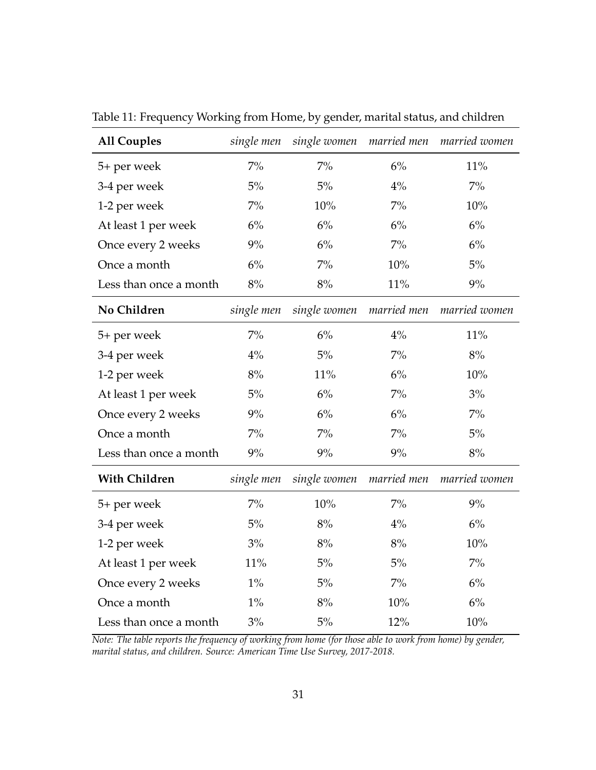| <b>All Couples</b>     | single men | single women | married men | married women |
|------------------------|------------|--------------|-------------|---------------|
| 5+ per week            | $7\%$      | $7\%$        | 6%          | 11%           |
| 3-4 per week           | $5\%$      | $5\%$        | 4%          | $7\%$         |
| 1-2 per week           | $7\%$      | 10%          | $7\%$       | 10%           |
| At least 1 per week    | $6\%$      | 6%           | 6%          | $6\%$         |
| Once every 2 weeks     | 9%         | 6%           | $7\%$       | 6%            |
| Once a month           | 6%         | $7\%$        | 10%         | 5%            |
| Less than once a month | $8\%$      | 8%           | $11\%$      | $9\%$         |
| No Children            | single men | single women | married men | married women |
| 5+ per week            | $7\%$      | 6%           | 4%          | 11%           |
| 3-4 per week           | 4%         | 5%           | $7\%$       | 8%            |
| 1-2 per week           | 8%         | 11%          | 6%          | 10%           |
| At least 1 per week    | $5\%$      | 6%           | $7\%$       | 3%            |
| Once every 2 weeks     | $9\%$      | 6%           | 6%          | $7\%$         |
| Once a month           | $7\%$      | $7\%$        | $7\%$       | $5\%$         |
| Less than once a month | 9%         | 9%           | 9%          | 8%            |
| <b>With Children</b>   | single men | single women | married men | married women |
| 5+ per week            | $7\%$      | 10%          | $7\%$       | 9%            |
| 3-4 per week           | 5%         | 8%           | 4%          | 6%            |
| 1-2 per week           | 3%         | 8%           | 8%          | 10%           |
| At least 1 per week    | 11%        | 5%           | 5%          | $7\%$         |
| Once every 2 weeks     | $1\%$      | $5\%$        | $7\%$       | 6%            |
| Once a month           | $1\%$      | 8%           | 10%         | 6%            |
| Less than once a month | 3%         | $5\%$        | 12%         | 10%           |

Table 11: Frequency Working from Home, by gender, marital status, and children

*Note: The table reports the frequency of working from home (for those able to work from home) by gender, marital status, and children. Source: American Time Use Survey, 2017-2018.*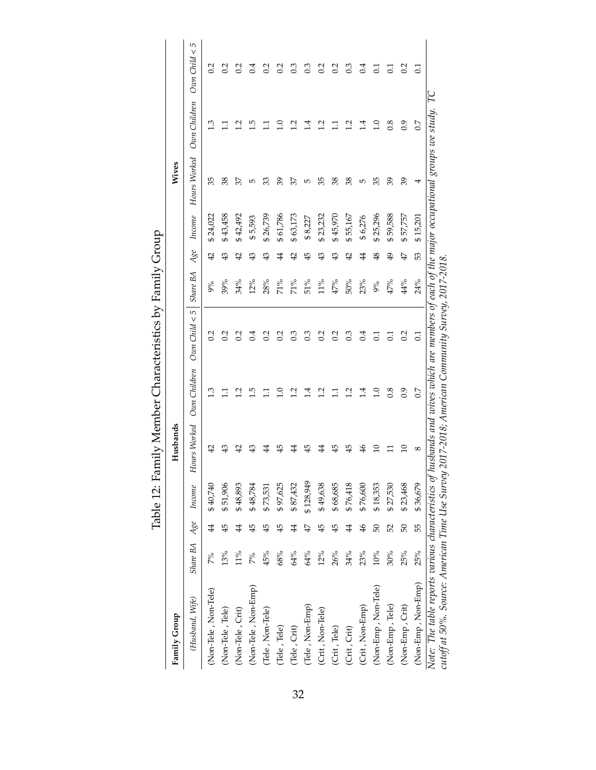| Family Group                                                                                                                                                                                                                                     |              |                 |           | Husbands        |                         |                   |          |                |          | Wives        |                         |                    |
|--------------------------------------------------------------------------------------------------------------------------------------------------------------------------------------------------------------------------------------------------|--------------|-----------------|-----------|-----------------|-------------------------|-------------------|----------|----------------|----------|--------------|-------------------------|--------------------|
| (Husband, Wife)                                                                                                                                                                                                                                  | Share BA Age |                 | Income    | Hours Worked    | Own Children            | $Own$ Child $< 5$ | Share BA | Age            | Income   | Hours Worked | Own Children            | $O$ an $Child < 5$ |
| (Non-Tele, Non-Tele)                                                                                                                                                                                                                             | 7%           | $\ddot{4}$      | \$40,740  | 42              |                         | 0.2               | 9%       | $\overline{4}$ | \$24,022 | 35           | $\tilde{\mathbf{c}}$    | 0.2                |
| (Non-Tele, Tele)                                                                                                                                                                                                                                 | 13%          | 45              | \$51,906  |                 |                         | 0.2               | 39%      | $\overline{4}$ | \$43,458 | 38           |                         | 0.2                |
| (Non-Tele, Crit)                                                                                                                                                                                                                                 | $11\%$       | $\ddagger$      | \$48,893  | 읶               | Ņ                       | 0.2               | 34%      | $\overline{4}$ | \$42,492 | 37           | $\overline{c}$          | 0.2                |
| (Non-Tele, Non-Emp)                                                                                                                                                                                                                              | 7%           | $\overline{45}$ | \$48,784  | ఞ               | <u>ت</u>                | 0.4               | 12%      | \$             | \$5,593  | 5            | ت<br>ا                  | $\ddot{0.4}$       |
| (Tele, Non-Tele)                                                                                                                                                                                                                                 | 45%          | 45              | \$73,531  | 4               |                         | 0.2               | 28%      | 43             | \$26,739 | 33           |                         | $\approx$          |
| (Tele, Tele)                                                                                                                                                                                                                                     | 68%          | 45              | \$97,625  | 45              | $\supseteq$             | 0.2               | 71%      | 4              | \$61,786 | 39           | $\Xi$                   | 0.2                |
| (Tele, Crit)                                                                                                                                                                                                                                     | 64%          | 4               | \$87,432  | 4               | $\overline{12}$         | 0.3               | 71%      | $\overline{4}$ | \$63,173 | 37           | 2                       | $0.\overline{3}$   |
| (Tele, Non-Emp)                                                                                                                                                                                                                                  | 64%          | 47              | \$128,949 | 45              | $\overline{14}$         | $0.\overline{3}$  | 51%      | 45             | \$8,227  | $\mathbf{L}$ |                         | $\mathbb{C}^3$     |
| (Crit, Non-Tele)                                                                                                                                                                                                                                 | 12%          | 45              | \$49,638  | 4               | 7                       | $\sim$            | 11%      | $\frac{43}{5}$ | \$23,232 | 35           | $\overline{12}$         | $\sim$             |
| (Crit, Tele)                                                                                                                                                                                                                                     | 26%          | 45              | \$68,685  | 45              |                         | 0.2               | $47\%$   | \$             | \$45,970 | 38           | Ξ                       | 0.2                |
| (Crit, Crit)                                                                                                                                                                                                                                     | 34%          | 4               | \$76,418  | 45              | $\overline{\mathbf{C}}$ | 0.3               | 50%      | $\overline{4}$ | \$55,167 | 38           | $\overline{\mathbf{C}}$ | $0.\overline{3}$   |
| (Crit, Non-Emp)                                                                                                                                                                                                                                  | 23%          | $\frac{4}{6}$   | \$76,600  | $\frac{4}{5}$   | $\vec{=}$               | 0.4               | 23%      | $\ddot{4}$     | \$6,276  | Б            | $\overline{14}$         | ರ.<br>ರ            |
| (Non-Emp, Non-Tele)                                                                                                                                                                                                                              | $10\%$       | 50              | \$18,353  | $\Xi$           | $\ddot{0}$              | 5                 | $9\%$    | $\frac{8}{3}$  | \$25,296 | 35           | $\Xi$                   | $\Xi$              |
| (Non-Emp, Tele)                                                                                                                                                                                                                                  | $30\%$       | 52              | \$27,530  |                 | 0.8                     | $\Xi$             | $47\%$   | $\overline{6}$ | \$59,588 | 39           | 0.8                     | $\Xi$              |
| (Non-Emp, Crit)                                                                                                                                                                                                                                  | 25%          | 50              | \$23,468  | $\overline{10}$ | 0.9                     | 0.2               | 44%      | 47             | \$57,757 | 39           | 0.9                     | 0.2                |
| (Non-Emp, Non-Emp)                                                                                                                                                                                                                               | 25%          | 55              | \$36,679  | 8               | 0.7                     | $\overline{0}$    | 24%      | 53             | \$15,201 | 4            | 0.7                     | $\rm{C}$           |
| Note: The table reports various characteristics of husbands and wives which are members of each of the major occupational groups we study. TC<br>cutoff at 50%. Source: American Time Use Survey 2017-2018; American Community Survey, 2017-2018 |              |                 |           |                 |                         |                   |          |                |          |              |                         |                    |

Table 12: Family Member Characteristics by Family Group Table 12: Family Member Characteristics by Family Group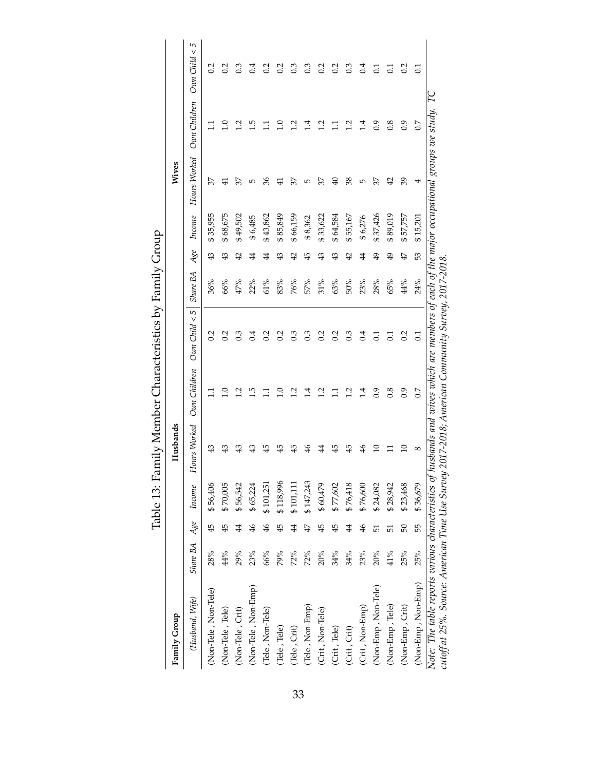| Family Group                                                                                                                                                                                                                                     |                     |                |           | Husbands      |                 |                   |          |                |          | Wives           |                |                    |
|--------------------------------------------------------------------------------------------------------------------------------------------------------------------------------------------------------------------------------------------------|---------------------|----------------|-----------|---------------|-----------------|-------------------|----------|----------------|----------|-----------------|----------------|--------------------|
| (Husband, Wife)                                                                                                                                                                                                                                  | Share BA Age Income |                |           | Hours Worked  | Own Children    | $Own$ Child $< 5$ | Share BA | Age            | Income   | Hours Worked    | Own Children   | $O$ an $Child < 5$ |
| (Non-Tele, Non-Tele)                                                                                                                                                                                                                             | 28%                 | 45             | \$56,406  |               |                 | 0.2               | 36%      | 43             | \$35,955 | 37              |                | 0.2                |
| (Non-Tele, Tele)                                                                                                                                                                                                                                 | $44\%$              | 45             | \$70,005  |               | $\supseteq$     | 0.2               | 66%      | $\overline{4}$ | \$68,675 | $\frac{4}{1}$   | $\overline{0}$ | 0.2                |
| (Non-Tele, Crit)                                                                                                                                                                                                                                 | 29%                 | 4              | \$56,542  |               | $\overline{c}$  | $0.\overline{3}$  | 47%      | $\overline{4}$ | \$49,502 | 37              | <u>ب</u>       | 0.3                |
| (Non-Tele, Non-Emp)                                                                                                                                                                                                                              | 23%                 | $\frac{4}{6}$  | \$65,224  | ₩             | <u>ت</u>        | 0.4               | 22%      | 4              | \$6,485  | 5               | م.<br>ا        | $\sim 1$           |
| (Tele, Non-Tele)                                                                                                                                                                                                                                 | 66%                 | $\frac{4}{6}$  | \$101,251 | 45            | Ξ               | 0.2               | 61%      | $\ddot{4}$     | \$43,862 | 36              | Ξ              | 0.2                |
| (Tele, Tele)                                                                                                                                                                                                                                     | 79%                 | 45             | \$118,996 | 45            | $\supseteq$     | 0.2               | 83%      | 43             | \$85,849 | $\frac{4}{1}$   | $\Xi$          | $\overline{0}$     |
| (Tele, Crit)                                                                                                                                                                                                                                     | 72%                 | $\overline{4}$ | \$101,111 | 45            | 12              | $0.\overline{3}$  | 76%      | $\overline{4}$ | \$66,159 | 37              | 12             | 3                  |
| (Tele, Non-Emp)                                                                                                                                                                                                                                  | 72%                 | $\ddot{4}$     | \$147,243 | $\frac{9}{5}$ | $\overline{11}$ | $0.\overline{3}$  | 57%      | 45             | \$8,362  | Б               | ₫.             | $0.\overline{3}$   |
| (Crit, Non-Tele)                                                                                                                                                                                                                                 | 20%                 | $\overline{4}$ | \$60,479  | 4             | 1.2             | 0.2               | $31\%$   | $\frac{4}{3}$  | \$33,622 | 37              | $\frac{1}{2}$  | 0.2                |
| (Crit, Tele)                                                                                                                                                                                                                                     | 34%                 | 45             | \$77,602  | 45            | Ξ               | 0.2               | 63%      | $\frac{43}{5}$ | \$64,584 | $\overline{40}$ | $\Xi$          | 0.2                |
| (Crit, Crit)                                                                                                                                                                                                                                     | 34%                 | $\overline{4}$ | \$76,418  | 45            | $\overline{c}$  | 0.3               | 50%      | 42             | \$55,167 | 38              | $\overline{c}$ | $0.\overline{3}$   |
| (Crit, Non-Emp)                                                                                                                                                                                                                                  | 23%                 | $\frac{4}{6}$  | \$76,600  | $\frac{4}{6}$ | $\vec{1}$       | 0.4               | 23%      | $\ddagger$     | \$6,276  | 5               | $\vec{=}$      | 0.4                |
| (Non-Emp, Non-Tele)                                                                                                                                                                                                                              | 20%                 | 51             | \$24,082  | ≘             | 0.9             | $\Xi$             | 28%      | $\overline{6}$ | \$37,426 | 37              | 0.9            | $\Xi$              |
| (Non-Emp, Tele)                                                                                                                                                                                                                                  | 41%                 | 51             | \$28,942  |               | 0.8             | $\Xi$             | 65%      | $\overline{6}$ | \$89,019 | 42              | 0.8            | $\Xi$              |
| (Non-Emp, Crit)                                                                                                                                                                                                                                  | 25%                 | 50             | \$23,468  | $\Xi$         | 0.9             | 0.2               | 44%      | 47             | \$57,757 | 39              | 0.9            | 0.2                |
| (Non-Emp, Non-Emp)                                                                                                                                                                                                                               | 25%                 | 55             | \$36,679  | $^{\circ}$    | 0.7             | $\rm{C}$          | 24%      | 53             | \$15,201 | 4               | 0.7            | $\Xi$              |
| Note: The table reports various characteristics of husbands and wives which are members of each of the major occupational groups we study. TC<br>cutoff at 25%. Source: American Time Use Survey 2017-2018; American Community Survey, 2017-2018 |                     |                |           |               |                 |                   |          |                |          |                 |                |                    |
|                                                                                                                                                                                                                                                  |                     |                |           |               |                 |                   |          |                |          |                 |                |                    |

Table 13: Family Member Characteristics by Family Group Table 13: Family Member Characteristics by Family Group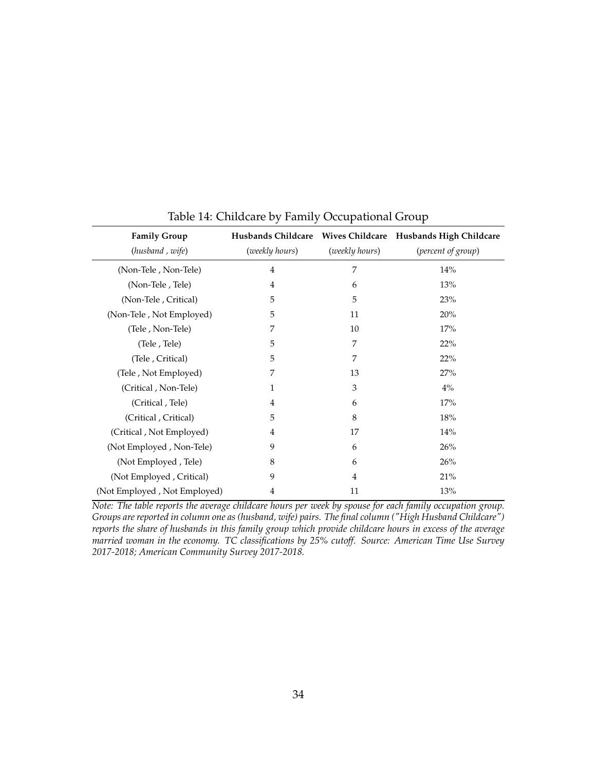| <b>Family Group</b><br>(husband, wife) | (weekly hours) | (weekly hours) | (percent of group) |
|----------------------------------------|----------------|----------------|--------------------|
|                                        |                |                |                    |
| (Non-Tele, Non-Tele)                   | $\overline{4}$ | 7              | 14%                |
| (Non-Tele, Tele)                       | 4              | 6              | 13%                |
| (Non-Tele, Critical)                   | 5              | 5              | 23%                |
| (Non-Tele, Not Employed)               | 5              | 11             | 20%                |
| (Tele, Non-Tele)                       | 7              | 10             | 17%                |
| (Tele, Tele)                           | 5              | 7              | 22%                |
| (Tele, Critical)                       | 5              | 7              | 22%                |
| (Tele, Not Employed)                   | 7              | 13             | 27%                |
| (Critical, Non-Tele)                   | $\mathbf{1}$   | 3              | $4\%$              |
| (Critical, Tele)                       | 4              | 6              | 17%                |
| (Critical, Critical)                   | 5              | 8              | 18%                |
| (Critical, Not Employed)               | $\overline{4}$ | 17             | 14%                |
| (Not Employed, Non-Tele)               | 9              | 6              | 26%                |
| (Not Employed, Tele)                   | 8              | 6              | 26%                |
| (Not Employed, Critical)               | 9              | 4              | 21%                |
| (Not Employed, Not Employed)           | 4              | 11             | 13%                |

Table 14: Childcare by Family Occupational Group

*Note: The table reports the average childcare hours per week by spouse for each family occupation group. Groups are reported in column one as (husband, wife) pairs. The final column ("High Husband Childcare") reports the share of husbands in this family group which provide childcare hours in excess of the average married woman in the economy. TC classifications by 25% cutoff. Source: American Time Use Survey 2017-2018; American Community Survey 2017-2018.*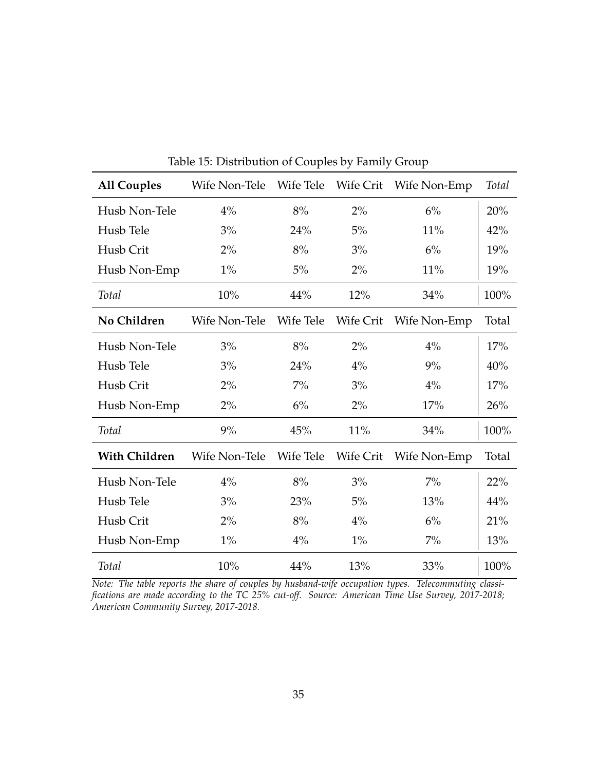| <b>All Couples</b>   | Wife Non-Tele |           |           | Wife Tele Wife Crit Wife Non-Emp | <b>Total</b> |
|----------------------|---------------|-----------|-----------|----------------------------------|--------------|
| Husb Non-Tele        | $4\%$         | 8%        | 2%        | 6%                               | 20%          |
| Husb Tele            | 3%            | 24%       | $5\%$     | 11%                              | 42%          |
| Husb Crit            | 2%            | 8%        | 3%        | 6%                               | 19%          |
| Husb Non-Emp         | $1\%$         | 5%        | 2%        | 11%                              | 19%          |
| Total                | 10%           | 44%       | 12%       | 34%                              | 100%         |
| No Children          | Wife Non-Tele | Wife Tele | Wife Crit | Wife Non-Emp                     | Total        |
| Husb Non-Tele        | 3%            | 8%        | 2%        | 4%                               | 17%          |
| Husb Tele            | 3%            | 24%       | 4%        | 9%                               | 40%          |
| Husb Crit            | 2%            | $7\%$     | 3%        | 4%                               | 17%          |
| Husb Non-Emp         | 2%            | 6%        | 2%        | 17%                              | 26%          |
| Total                | 9%            | 45%       | 11%       | 34%                              | 100%         |
| <b>With Children</b> | Wife Non-Tele | Wife Tele | Wife Crit | Wife Non-Emp                     | Total        |
| Husb Non-Tele        | $4\%$         | 8%        | 3%        | $7\%$                            | 22%          |
| Husb Tele            | 3%            | 23%       | 5%        | 13%                              | 44%          |
| Husb Crit            | 2%            | 8%        | 4%        | 6%                               | 21%          |
| Husb Non-Emp         | $1\%$         | $4\%$     | 1%        | $7\%$                            | 13%          |
| <b>Total</b>         | 10%           | 44%       | 13%       | 33%                              | 100%         |

Table 15: Distribution of Couples by Family Group

*Note: The table reports the share of couples by husband-wife occupation types. Telecommuting classifications are made according to the TC 25% cut-off. Source: American Time Use Survey, 2017-2018; American Community Survey, 2017-2018.*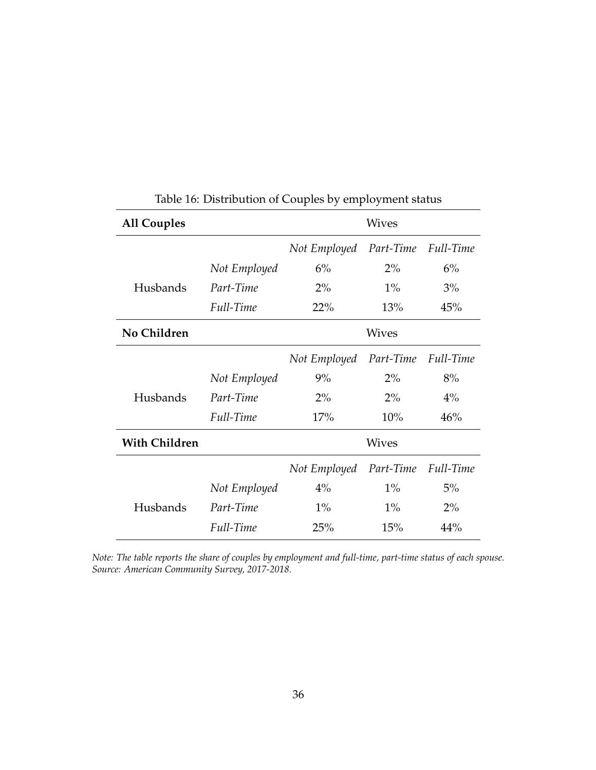| <b>All Couples</b>   |              |              | <b>Wives</b> |           |
|----------------------|--------------|--------------|--------------|-----------|
|                      |              | Not Employed | Part-Time    | Full-Time |
|                      | Not Employed | 6%           | $2\%$        | 6%        |
| Husbands             | Part-Time    | $2\%$        | $1\%$        | 3%        |
|                      | Full-Time    | 22%          | 13%          | 45%       |
| No Children          |              |              | <b>Wives</b> |           |
|                      |              | Not Employed | Part-Time    | Full-Time |
|                      | Not Employed | 9%           | $2\%$        | 8%        |
| Husbands             | Part-Time    | 2%           | $2\%$        | 4%        |
|                      | Full-Time    | 17%          | 10%          | 46%       |
| <b>With Children</b> |              |              | <b>Wives</b> |           |
|                      |              | Not Employed | Part-Time    | Full-Time |
|                      | Not Employed | $4\%$        | $1\%$        | 5%        |
| Husbands             | Part-Time    | $1\%$        | $1\%$        | 2%        |
|                      | Full-Time    | 25%          | 15%          | 44%       |

Table 16: Distribution of Couples by employment status

*Note: The table reports the share of couples by employment and full-time, part-time status of each spouse. Source: American Community Survey, 2017-2018.*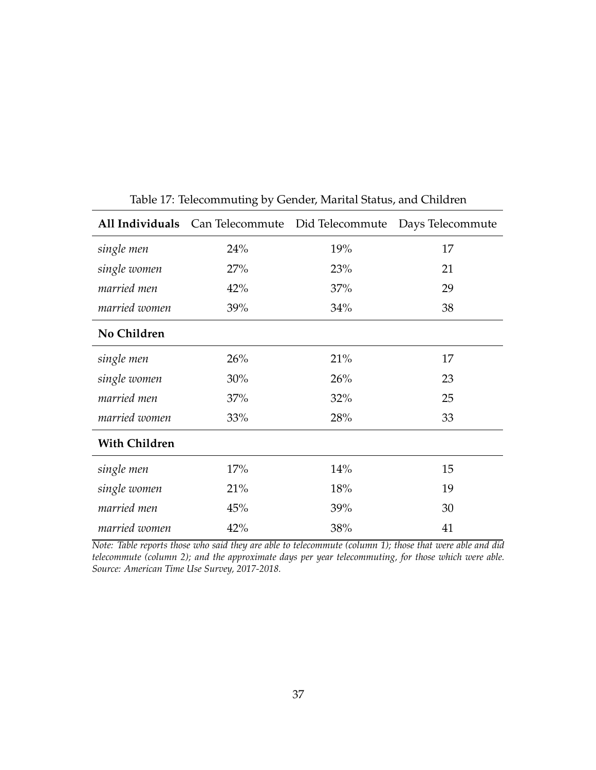|                      | All Individuals Can Telecommute Did Telecommute |     | Days Telecommute |
|----------------------|-------------------------------------------------|-----|------------------|
| single men           | 24%                                             | 19% | 17               |
| single women         | 27%                                             | 23% | 21               |
| married men          | 42%                                             | 37% | 29               |
| married women        | 39%                                             | 34% | 38               |
| No Children          |                                                 |     |                  |
| single men           | 26%                                             | 21% | 17               |
| single women         | 30%                                             | 26% | 23               |
| married men          | 37%                                             | 32% | 25               |
| married women        | 33%                                             | 28% | 33               |
| <b>With Children</b> |                                                 |     |                  |
| single men           | 17%                                             | 14% | 15               |
| single women         | 21%                                             | 18% | 19               |
| married men          | 45%                                             | 39% | 30               |
| married women        | 42%                                             | 38% | 41               |

Table 17: Telecommuting by Gender, Marital Status, and Children

*Note: Table reports those who said they are able to telecommute (column 1); those that were able and did telecommute (column 2); and the approximate days per year telecommuting, for those which were able. Source: American Time Use Survey, 2017-2018.*